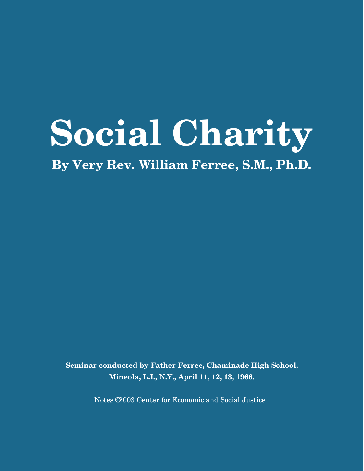# **Social Charity**

**By Very Rev. William Ferree, S.M., Ph.D.**

**Seminar conducted by Father Ferree, Chaminade High School, Mineola, L.I., N.Y., April 11, 12, 13, 1966.**

Notes © 2003 Center for Economic and Social Justice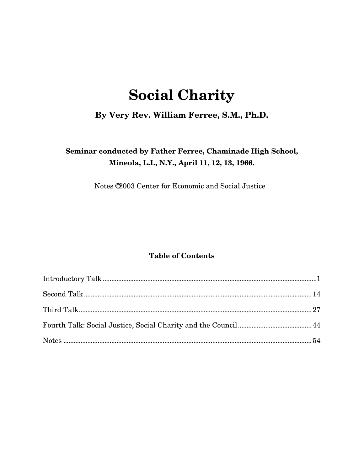# **Social Charity**

# **By Very Rev. William Ferree, S.M., Ph.D.**

# **Seminar conducted by Father Ferree, Chaminade High School, Mineola, L.I., N.Y., April 11, 12, 13, 1966.**

Notes © 2003 Center for Economic and Social Justice

# **Table of Contents**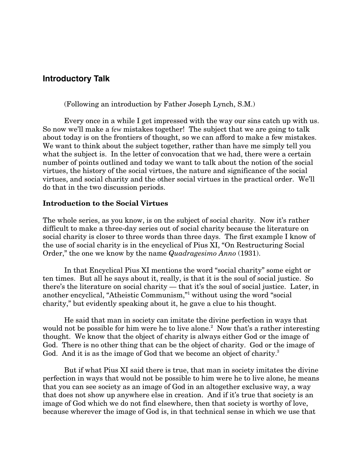# **Introductory Talk**

(Following an introduction by Father Joseph Lynch, S.M.)

Every once in a while I get impressed with the way our sins catch up with us. So now we'll make a few mistakes together! The subject that we are going to talk about today is on the frontiers of thought, so we can afford to make a few mistakes. We want to think about the subject together, rather than have me simply tell you what the subject is. In the letter of convocation that we had, there were a certain number of points outlined and today we want to talk about the notion of the social virtues, the history of the social virtues, the nature and significance of the social virtues, and social charity and the other social virtues in the practical order. We'll do that in the two discussion periods.

#### **Introduction to the Social Virtues**

The whole series, as you know, is on the subject of social charity. Now it's rather difficult to make a three-day series out of social charity because the literature on social charity is closer to three words than three days. The first example I know of the use of social charity is in the encyclical of Pius XI, "On Restructuring Social Order," the one we know by the name *Quadragesimo Anno* (1931).

In that Encyclical Pius XI mentions the word "social charity" some eight or ten times. But all he says about it, really, is that it is the soul of social justice. So there's the literature on social charity — that it's the soul of social justice. Later, in another encyclical, "Atheistic Communism,"1 without using the word "social charity," but evidently speaking about it, he gave a clue to his thought.

He said that man in society can imitate the divine perfection in ways that would not be possible for him were he to live alone.<sup>2</sup> Now that's a rather interesting thought. We know that the object of charity is always either God or the image of God. There is no other thing that can be the object of charity. God or the image of God. And it is as the image of God that we become an object of charity.<sup>3</sup>

But if what Pius XI said there is true, that man in society imitates the divine perfection in ways that would not be possible to him were he to live alone, he means that you can see society as an image of God in an altogether exclusive way, a way that does not show up anywhere else in creation. And if it's true that society is an image of God which we do not find elsewhere, then that society is worthy of love, because wherever the image of God is, in that technical sense in which we use that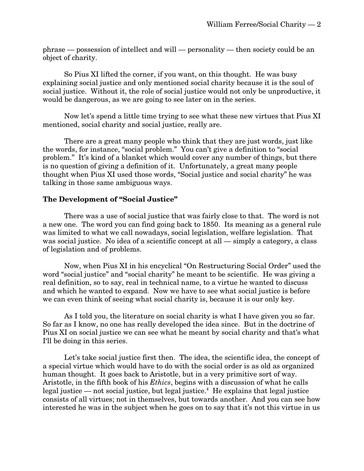phrase — possession of intellect and will — personality — then society could be an object of charity.

So Pius XI lifted the corner, if you want, on this thought. He was busy explaining social justice and only mentioned social charity because it is the soul of social justice. Without it, the role of social justice would not only be unproductive, it would be dangerous, as we are going to see later on in the series.

Now let's spend a little time trying to see what these new virtues that Pius XI mentioned, social charity and social justice, really are.

There are a great many people who think that they are just words, just like the words, for instance, "social problem." You can't give a definition to "social problem." It's kind of a blanket which would cover any number of things, but there is no question of giving a definition of it. Unfortunately, a great many people thought when Pius XI used those words, "Social justice and social charity" he was talking in those same ambiguous ways.

# **The Development of "Social Justice"**

There was a use of social justice that was fairly close to that. The word is not a new one. The word you can find going back to 1850. Its meaning as a general rule was limited to what we call nowadays, social legislation, welfare legislation. That was social justice. No idea of a scientific concept at all — simply a category, a class of legislation and of problems.

Now, when Pius XI in his encyclical "On Restructuring Social Order" used the word "social justice" and "social charity" he meant to be scientific. He was giving a real definition, so to say, real in technical name, to a virtue he wanted to discuss and which he wanted to expand. Now we have to see what social justice is before we can even think of seeing what social charity is, because it is our only key.

As I told you, the literature on social charity is what I have given you so far. So far as I know, no one has really developed the idea since. But in the doctrine of Pius XI on social justice we can see what he meant by social charity and that's what I'll be doing in this series.

Let's take social justice first then. The idea, the scientific idea, the concept of a special virtue which would have to do with the social order is as old as organized human thought. It goes back to Aristotle, but in a very primitive sort of way. Aristotle, in the fifth book of his *Ethics*, begins with a discussion of what he calls legal justice — not social justice, but legal justice.<sup>4</sup> He explains that legal justice consists of all virtues; not in themselves, but towards another. And you can see how interested he was in the subject when he goes on to say that it's not this virtue in us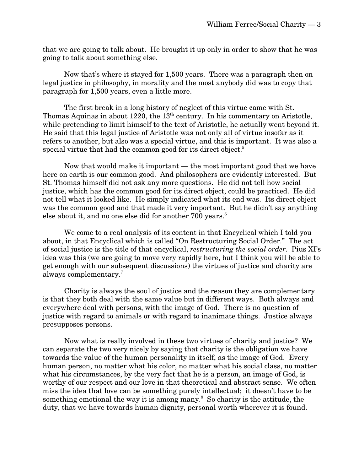that we are going to talk about. He brought it up only in order to show that he was going to talk about something else.

Now that's where it stayed for 1,500 years. There was a paragraph then on legal justice in philosophy, in morality and the most anybody did was to copy that paragraph for 1,500 years, even a little more.

The first break in a long history of neglect of this virtue came with St. Thomas Aquinas in about  $1220$ , the  $13<sup>th</sup>$  century. In his commentary on Aristotle, while pretending to limit himself to the text of Aristotle, he actually went beyond it. He said that this legal justice of Aristotle was not only all of virtue insofar as it refers to another, but also was a special virtue, and this is important. It was also a special virtue that had the common good for its direct object.<sup>5</sup>

Now that would make it important — the most important good that we have here on earth is our common good. And philosophers are evidently interested. But St. Thomas himself did not ask any more questions. He did not tell how social justice, which has the common good for its direct object, could be practiced. He did not tell what it looked like. He simply indicated what its end was. Its direct object was the common good and that made it very important. But he didn't say anything else about it, and no one else did for another 700 years.<sup>6</sup>

We come to a real analysis of its content in that Encyclical which I told you about, in that Encyclical which is called "On Restructuring Social Order." The act of social justice is the title of that encyclical, *restructuring the social order*. Pius XI's idea was this (we are going to move very rapidly here, but I think you will be able to get enough with our subsequent discussions) the virtues of justice and charity are always complementary.7

Charity is always the soul of justice and the reason they are complementary is that they both deal with the same value but in different ways. Both always and everywhere deal with persons, with the image of God. There is no question of justice with regard to animals or with regard to inanimate things. Justice always presupposes persons.

Now what is really involved in these two virtues of charity and justice? We can separate the two very nicely by saying that charity is the obligation we have towards the value of the human personality in itself, as the image of God. Every human person, no matter what his color, no matter what his social class, no matter what his circumstances, by the very fact that he is a person, an image of God, is worthy of our respect and our love in that theoretical and abstract sense. We often miss the idea that love can be something purely intellectual; it doesn't have to be something emotional the way it is among many. $8$  So charity is the attitude, the duty, that we have towards human dignity, personal worth wherever it is found.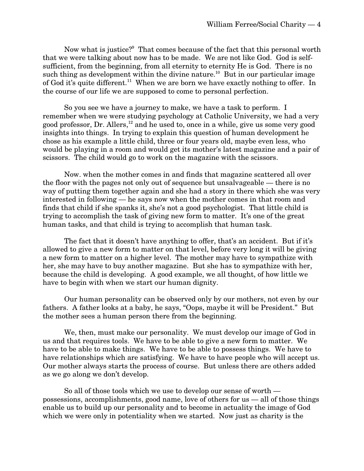Now what is justice?<sup>9</sup> That comes because of the fact that this personal worth that we were talking about now has to be made. We are not like God. God is selfsufficient, from the beginning, from all eternity to eternity He is God. There is no such thing as development within the divine nature.<sup>10</sup> But in our particular image of God it's quite different.<sup>11</sup> When we are born we have exactly nothing to offer. In the course of our life we are supposed to come to personal perfection.

So you see we have a journey to make, we have a task to perform. I remember when we were studying psychology at Catholic University, we had a very good professor, Dr. Allers, $^{12}$  and he used to, once in a while, give us some very good insights into things. In trying to explain this question of human development he chose as his example a little child, three or four years old, maybe even less, who would be playing in a room and would get its mother's latest magazine and a pair of scissors. The child would go to work on the magazine with the scissors.

Now. when the mother comes in and finds that magazine scattered all over the floor with the pages not only out of sequence but unsalvageable — there is no way of putting them together again and she had a story in there which she was very interested in following — he says now when the mother comes in that room and finds that child if she spanks it, she's not a good psychologist. That little child is trying to accomplish the task of giving new form to matter. It's one of the great human tasks, and that child is trying to accomplish that human task.

The fact that it doesn't have anything to offer, that's an accident. But if it's allowed to give a new form to matter on that level, before very long it will be giving a new form to matter on a higher level. The mother may have to sympathize with her, she may have to buy another magazine. But she has to sympathize with her, because the child is developing. A good example, we all thought, of how little we have to begin with when we start our human dignity.

Our human personality can be observed only by our mothers, not even by our fathers. A father looks at a baby, he says, "Oops, maybe it will be President." But the mother sees a human person there from the beginning.

We, then, must make our personality. We must develop our image of God in us and that requires tools. We have to be able to give a new form to matter. We have to be able to make things. We have to be able to possess things. We have to have relationships which are satisfying. We have to have people who will accept us. Our mother always starts the process of course. But unless there are others added as we go along we don't develop.

So all of those tools which we use to develop our sense of worth possessions, accomplishments, good name, love of others for us — all of those things enable us to build up our personality and to become in actuality the image of God which we were only in potentiality when we started. Now just as charity is the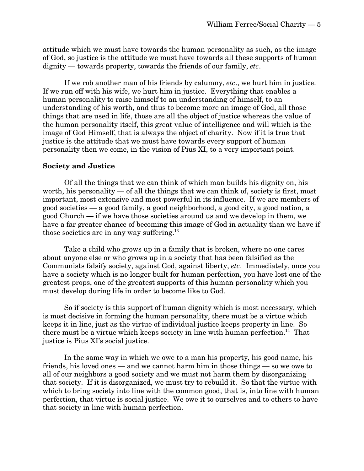attitude which we must have towards the human personality as such, as the image of God, so justice is the attitude we must have towards all these supports of human dignity — towards property, towards the friends of our family, *etc*.

If we rob another man of his friends by calumny, *etc*., we hurt him in justice. If we run off with his wife, we hurt him in justice. Everything that enables a human personality to raise himself to an understanding of himself, to an understanding of his worth, and thus to become more an image of God, all those things that are used in life, those are all the object of justice whereas the value of the human personality itself, this great value of intelligence and will which is the image of God Himself, that is always the object of charity. Now if it is true that justice is the attitude that we must have towards every support of human personality then we come, in the vision of Pius XI, to a very important point.

#### **Society and Justice**

Of all the things that we can think of which man builds his dignity on, his worth, his personality — of all the things that we can think of, society is first, most important, most extensive and most powerful in its influence. If we are members of good societies — a good family, a good neighborhood, a good city, a good nation, a good Church — if we have those societies around us and we develop in them, we have a far greater chance of becoming this image of God in actuality than we have if those societies are in any way suffering.<sup>13</sup>

Take a child who grows up in a family that is broken, where no one cares about anyone else or who grows up in a society that has been falsified as the Communists falsify society, against God, against liberty, *etc*. Immediately, once you have a society which is no longer built for human perfection, you have lost one of the greatest props, one of the greatest supports of this human personality which you must develop during life in order to become like to God.

So if society is this support of human dignity which is most necessary, which is most decisive in forming the human personality, there must be a virtue which keeps it in line, just as the virtue of individual justice keeps property in line. So there must be a virtue which keeps society in line with human perfection.<sup>14</sup> That justice is Pius XI's social justice.

In the same way in which we owe to a man his property, his good name, his friends, his loved ones — and we cannot harm him in those things — so we owe to all of our neighbors a good society and we must not harm them by disorganizing that society. If it is disorganized, we must try to rebuild it. So that the virtue with which to bring society into line with the common good, that is, into line with human perfection, that virtue is social justice. We owe it to ourselves and to others to have that society in line with human perfection.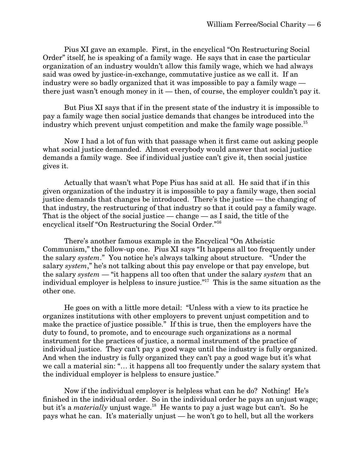Pius XI gave an example. First, in the encyclical "On Restructuring Social Order" itself, he is speaking of a family wage. He says that in case the particular organization of an industry wouldn't allow this family wage, which we had always said was owed by justice-in-exchange, commutative justice as we call it. If an industry were so badly organized that it was impossible to pay a family wage there just wasn't enough money in it — then, of course, the employer couldn't pay it.

But Pius XI says that if in the present state of the industry it is impossible to pay a family wage then social justice demands that changes be introduced into the industry which prevent unjust competition and make the family wage possible.<sup>15</sup>

Now I had a lot of fun with that passage when it first came out asking people what social justice demanded. Almost everybody would answer that social justice demands a family wage. See if individual justice can't give it, then social justice gives it.

Actually that wasn't what Pope Pius has said at all. He said that if in this given organization of the industry it is impossible to pay a family wage, then social justice demands that changes be introduced. There's the justice — the changing of that industry, the restructuring of that industry so that it could pay a family wage. That is the object of the social justice — change — as I said, the title of the encyclical itself "On Restructuring the Social Order."16

There's another famous example in the Encyclical "On Atheistic Communism," the follow-up one. Pius XI says "It happens all too frequently under the salary *system*." You notice he's always talking about structure. "Under the salary *system*," he's not talking about this pay envelope or that pay envelope, but the salary *system* — "it happens all too often that under the salary *system* that an individual employer is helpless to insure justice."17 This is the same situation as the other one.

He goes on with a little more detail: "Unless with a view to its practice he organizes institutions with other employers to prevent unjust competition and to make the practice of justice possible." If this is true, then the employers have the duty to found, to promote, and to encourage such organizations as a normal instrument for the practices of justice, a normal instrument of the practice of individual justice. They can't pay a good wage until the industry is fully organized. And when the industry is fully organized they can't pay a good wage but it's what we call a material sin: "… it happens all too frequently under the salary system that the individual employer is helpless to ensure justice."

Now if the individual employer is helpless what can he do? Nothing! He's finished in the individual order. So in the individual order he pays an unjust wage; but it's a *materially* unjust wage.<sup>18</sup> He wants to pay a just wage but can't. So he pays what he can. It's materially unjust — he won't go to hell, but all the workers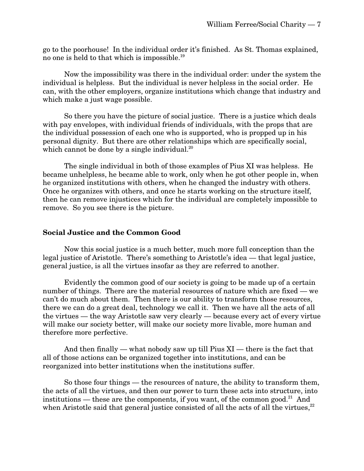go to the poorhouse! In the individual order it's finished. As St. Thomas explained, no one is held to that which is impossible.19

Now the impossibility was there in the individual order: under the system the individual is helpless. But the individual is never helpless in the social order. He can, with the other employers, organize institutions which change that industry and which make a just wage possible.

So there you have the picture of social justice. There is a justice which deals with pay envelopes, with individual friends of individuals, with the props that are the individual possession of each one who is supported, who is propped up in his personal dignity. But there are other relationships which are specifically social, which cannot be done by a single individual. $^{20}$ 

The single individual in both of those examples of Pius XI was helpless. He became unhelpless, he became able to work, only when he got other people in, when he organized institutions with others, when he changed the industry with others. Once he organizes with others, and once he starts working on the structure itself, then he can remove injustices which for the individual are completely impossible to remove. So you see there is the picture.

#### **Social Justice and the Common Good**

Now this social justice is a much better, much more full conception than the legal justice of Aristotle. There's something to Aristotle's idea — that legal justice, general justice, is all the virtues insofar as they are referred to another.

Evidently the common good of our society is going to be made up of a certain number of things. There are the material resources of nature which are fixed — we can't do much about them. Then there is our ability to transform those resources, there we can do a great deal, technology we call it. Then we have all the acts of all the virtues — the way Aristotle saw very clearly — because every act of every virtue will make our society better, will make our society more livable, more human and therefore more perfective.

And then finally — what nobody saw up till Pius  $XI$  — there is the fact that all of those actions can be organized together into institutions, and can be reorganized into better institutions when the institutions suffer.

So those four things — the resources of nature, the ability to transform them, the acts of all the virtues, and then our power to turn these acts into structure, into institutions — these are the components, if you want, of the common good.<sup>21</sup> And when Aristotle said that general justice consisted of all the acts of all the virtues, $22$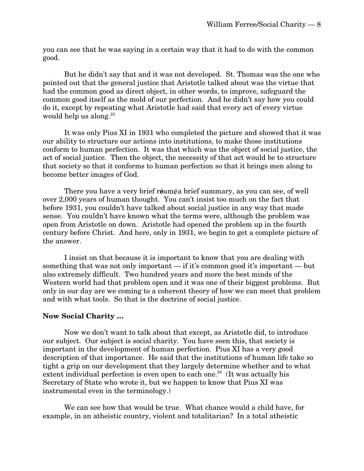you can see that he was saying in a certain way that it had to do with the common good.

But he didn't say that and it was not developed. St. Thomas was the one who pointed out that the general justice that Aristotle talked about was the virtue that had the common good as direct object, in other words, to improve, safeguard the common good itself as the mold of our perfection. And he didn't say how you could do it, except by repeating what Aristotle had said that every act of every virtue would help us along. $23$ 

It was only Pius XI in 1931 who completed the picture and showed that it was our ability to structure our actions into institutions, to make those institutions conform to human perfection. It was that which was the object of social justice, the act of social justice. Then the object, the necessity of that act would be to structure that society so that it conforms to human perfection so that it brings men along to become better images of God.

There you have a very brief réuméa brief summary, as you can see, of well over 2,000 years of human thought. You can't insist too much on the fact that before 1931, you couldn't have talked about social justice in any way that made sense. You couldn't have known what the terms were, although the problem was open from Aristotle on down. Aristotle had opened the problem up in the fourth century before Christ. And here, only in 1931, we begin to get a complete picture of the answer.

I insist on that because it is important to know that you are dealing with something that was not only important — if it's common good it's important — but also extremely difficult. Two hundred years and more the best minds of the Western world had that problem open and it was one of their biggest problems. But only in our day are we coming to a coherent theory of how we can meet that problem and with what tools. So that is the doctrine of social justice.

#### **Now Social Charity …**

Now we don't want to talk about that except, as Aristotle did, to introduce our subject. Our subject is social charity. You have seen this, that society is important in the development of human perfection. Pius XI has a very good description of that importance. He said that the institutions of human life take so tight a grip on our development that they largely determine whether and to what extent individual perfection is even open to each one. $^{24}$  (It was actually his Secretary of State who wrote it, but we happen to know that Pius XI was instrumental even in the terminology.)

We can see how that would be true. What chance would a child have, for example, in an atheistic country, violent and totalitarian? In a total atheistic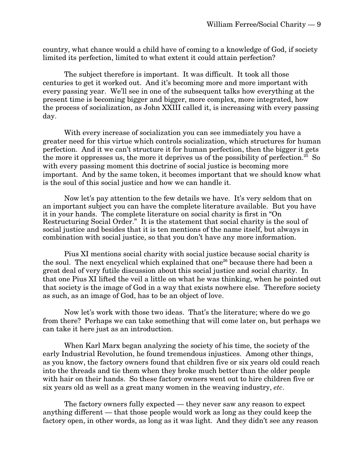country, what chance would a child have of coming to a knowledge of God, if society limited its perfection, limited to what extent it could attain perfection?

The subject therefore is important. It was difficult. It took all those centuries to get it worked out. And it's becoming more and more important with every passing year. We'll see in one of the subsequent talks how everything at the present time is becoming bigger and bigger, more complex, more integrated, how the process of socialization, as John XXIII called it, is increasing with every passing day.

With every increase of socialization you can see immediately you have a greater need for this virtue which controls socialization, which structures for human perfection. And it we can't structure it for human perfection, then the bigger it gets the more it oppresses us, the more it deprives us of the possibility of perfection.<sup>25</sup> So with every passing moment this doctrine of social justice is becoming more important. And by the same token, it becomes important that we should know what is the soul of this social justice and how we can handle it.

Now let's pay attention to the few details we have. It's very seldom that on an important subject you can have the complete literature available. But you have it in your hands. The complete literature on social charity is first in "On Restructuring Social Order." It is the statement that social charity is the soul of social justice and besides that it is ten mentions of the name itself, but always in combination with social justice, so that you don't have any more information.

Pius XI mentions social charity with social justice because social charity is the soul. The next encyclical which explained that one<sup>26</sup> because there had been a great deal of very futile discussion about this social justice and social charity. In that one Pius XI lifted the veil a little on what he was thinking, when he pointed out that society is the image of God in a way that exists nowhere else. Therefore society as such, as an image of God, has to be an object of love.

Now let's work with those two ideas. That's the literature; where do we go from there? Perhaps we can take something that will come later on, but perhaps we can take it here just as an introduction.

When Karl Marx began analyzing the society of his time, the society of the early Industrial Revolution, he found tremendous injustices. Among other things, as you know, the factory owners found that children five or six years old could reach into the threads and tie them when they broke much better than the older people with hair on their hands. So these factory owners went out to hire children five or six years old as well as a great many women in the weaving industry, *etc*.

The factory owners fully expected — they never saw any reason to expect anything different — that those people would work as long as they could keep the factory open, in other words, as long as it was light. And they didn't see any reason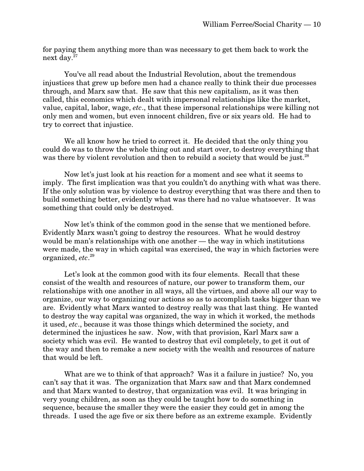for paying them anything more than was necessary to get them back to work the next day.27

You've all read about the Industrial Revolution, about the tremendous injustices that grew up before men had a chance really to think their due processes through, and Marx saw that. He saw that this new capitalism, as it was then called, this economics which dealt with impersonal relationships like the market, value, capital, labor, wage, *etc*., that these impersonal relationships were killing not only men and women, but even innocent children, five or six years old. He had to try to correct that injustice.

We all know how he tried to correct it. He decided that the only thing you could do was to throw the whole thing out and start over, to destroy everything that was there by violent revolution and then to rebuild a society that would be just.<sup>28</sup>

Now let's just look at his reaction for a moment and see what it seems to imply. The first implication was that you couldn't do anything with what was there. If the only solution was by violence to destroy everything that was there and then to build something better, evidently what was there had no value whatsoever. It was something that could only be destroyed.

Now let's think of the common good in the sense that we mentioned before. Evidently Marx wasn't going to destroy the resources. What he would destroy would be man's relationships with one another — the way in which institutions were made, the way in which capital was exercised, the way in which factories were organized, *etc*. 29

Let's look at the common good with its four elements. Recall that these consist of the wealth and resources of nature, our power to transform them, our relationships with one another in all ways, all the virtues, and above all our way to organize, our way to organizing our actions so as to accomplish tasks bigger than we are. Evidently what Marx wanted to destroy really was that last thing. He wanted to destroy the way capital was organized, the way in which it worked, the methods it used, *etc*., because it was those things which determined the society, and determined the injustices he saw. Now, with that provision, Karl Marx saw a society which was evil. He wanted to destroy that evil completely, to get it out of the way and then to remake a new society with the wealth and resources of nature that would be left.

What are we to think of that approach? Was it a failure in justice? No, you can't say that it was. The organization that Marx saw and that Marx condemned and that Marx wanted to destroy, that organization was evil. It was bringing in very young children, as soon as they could be taught how to do something in sequence, because the smaller they were the easier they could get in among the threads. I used the age five or six there before as an extreme example. Evidently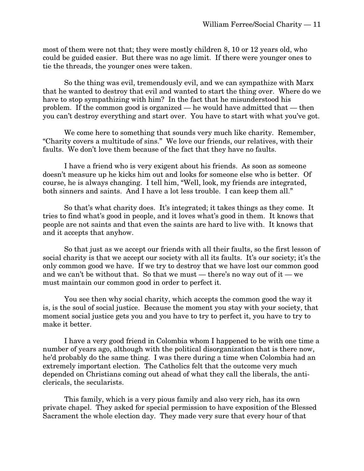most of them were not that; they were mostly children 8, 10 or 12 years old, who could be guided easier. But there was no age limit. If there were younger ones to tie the threads, the younger ones were taken.

So the thing was evil, tremendously evil, and we can sympathize with Marx that he wanted to destroy that evil and wanted to start the thing over. Where do we have to stop sympathizing with him? In the fact that he misunderstood his problem. If the common good is organized — he would have admitted that — then you can't destroy everything and start over. You have to start with what you've got.

We come here to something that sounds very much like charity. Remember, "Charity covers a multitude of sins." We love our friends, our relatives, with their faults. We don't love them because of the fact that they have no faults.

I have a friend who is very exigent about his friends. As soon as someone doesn't measure up he kicks him out and looks for someone else who is better. Of course, he is always changing. I tell him, "Well, look, my friends are integrated, both sinners and saints. And I have a lot less trouble. I can keep them all."

So that's what charity does. It's integrated; it takes things as they come. It tries to find what's good in people, and it loves what's good in them. It knows that people are not saints and that even the saints are hard to live with. It knows that and it accepts that anyhow.

So that just as we accept our friends with all their faults, so the first lesson of social charity is that we accept our society with all its faults. It's our society; it's the only common good we have. If we try to destroy that we have lost our common good and we can't be without that. So that we must — there's no way out of it — we must maintain our common good in order to perfect it.

You see then why social charity, which accepts the common good the way it is, is the soul of social justice. Because the moment you stay with your society, that moment social justice gets you and you have to try to perfect it, you have to try to make it better.

I have a very good friend in Colombia whom I happened to be with one time a number of years ago, although with the political disorganization that is there now, he'd probably do the same thing. I was there during a time when Colombia had an extremely important election. The Catholics felt that the outcome very much depended on Christians coming out ahead of what they call the liberals, the anticlericals, the secularists.

This family, which is a very pious family and also very rich, has its own private chapel. They asked for special permission to have exposition of the Blessed Sacrament the whole election day. They made very sure that every hour of that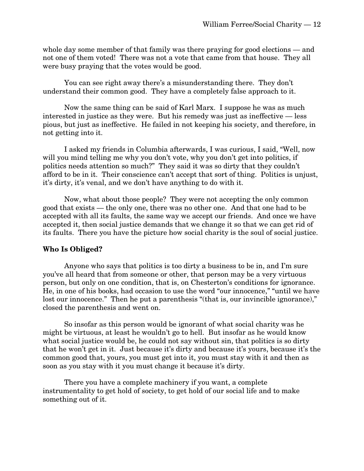whole day some member of that family was there praying for good elections — and not one of them voted! There was not a vote that came from that house. They all were busy praying that the votes would be good.

You can see right away there's a misunderstanding there. They don't understand their common good. They have a completely false approach to it.

Now the same thing can be said of Karl Marx. I suppose he was as much interested in justice as they were. But his remedy was just as ineffective — less pious, but just as ineffective. He failed in not keeping his society, and therefore, in not getting into it.

I asked my friends in Columbia afterwards, I was curious, I said, "Well, now will you mind telling me why you don't vote, why you don't get into politics, if politics needs attention so much?" They said it was so dirty that they couldn't afford to be in it. Their conscience can't accept that sort of thing. Politics is unjust, it's dirty, it's venal, and we don't have anything to do with it.

Now, what about those people? They were not accepting the only common good that exists — the only one, there was no other one. And that one had to be accepted with all its faults, the same way we accept our friends. And once we have accepted it, then social justice demands that we change it so that we can get rid of its faults. There you have the picture how social charity is the soul of social justice.

#### **Who Is Obliged?**

Anyone who says that politics is too dirty a business to be in, and I'm sure you've all heard that from someone or other, that person may be a very virtuous person, but only on one condition, that is, on Chesterton's conditions for ignorance. He, in one of his books, had occasion to use the word "our innocence," "until we have lost our innocence." Then he put a parenthesis "(that is, our invincible ignorance)," closed the parenthesis and went on.

So insofar as this person would be ignorant of what social charity was he might be virtuous, at least he wouldn't go to hell. But insofar as he would know what social justice would be, he could not say without sin, that politics is so dirty that he won't get in it. Just because it's dirty and because it's yours, because it's the common good that, yours, you must get into it, you must stay with it and then as soon as you stay with it you must change it because it's dirty.

There you have a complete machinery if you want, a complete instrumentality to get hold of society, to get hold of our social life and to make something out of it.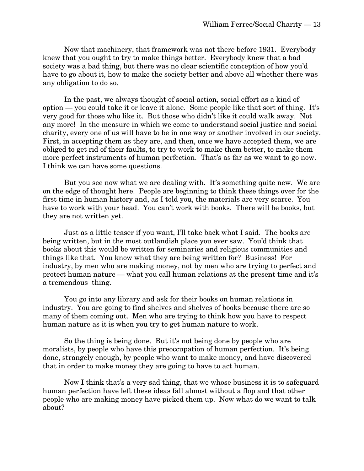Now that machinery, that framework was not there before 1931. Everybody knew that you ought to try to make things better. Everybody knew that a bad society was a bad thing, but there was no clear scientific conception of how you'd have to go about it, how to make the society better and above all whether there was any obligation to do so.

In the past, we always thought of social action, social effort as a kind of option — you could take it or leave it alone. Some people like that sort of thing. It's very good for those who like it. But those who didn't like it could walk away. Not any more! In the measure in which we come to understand social justice and social charity, every one of us will have to be in one way or another involved in our society. First, in accepting them as they are, and then, once we have accepted them, we are obliged to get rid of their faults, to try to work to make them better, to make them more perfect instruments of human perfection. That's as far as we want to go now. I think we can have some questions.

But you see now what we are dealing with. It's something quite new. We are on the edge of thought here. People are beginning to think these things over for the first time in human history and, as I told you, the materials are very scarce. You have to work with your head. You can't work with books. There will be books, but they are not written yet.

Just as a little teaser if you want, I'll take back what I said. The books are being written, but in the most outlandish place you ever saw. You'd think that books about this would be written for seminaries and religious communities and things like that. You know what they are being written for? Business! For industry, by men who are making money, not by men who are trying to perfect and protect human nature — what you call human relations at the present time and it's a tremendous thing.

You go into any library and ask for their books on human relations in industry. You are going to find shelves and shelves of books because there are so many of them coming out. Men who are trying to think how you have to respect human nature as it is when you try to get human nature to work.

So the thing is being done. But it's not being done by people who are moralists, by people who have this preoccupation of human perfection. It's being done, strangely enough, by people who want to make money, and have discovered that in order to make money they are going to have to act human.

Now I think that's a very sad thing, that we whose business it is to safeguard human perfection have left these ideas fall almost without a flop and that other people who are making money have picked them up. Now what do we want to talk about?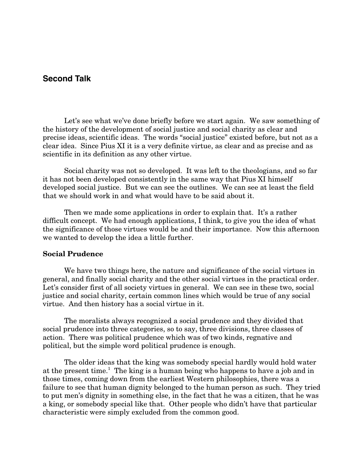# **Second Talk**

Let's see what we've done briefly before we start again. We saw something of the history of the development of social justice and social charity as clear and precise ideas, scientific ideas. The words "social justice" existed before, but not as a clear idea. Since Pius XI it is a very definite virtue, as clear and as precise and as scientific in its definition as any other virtue.

Social charity was not so developed. It was left to the theologians, and so far it has not been developed consistently in the same way that Pius XI himself developed social justice. But we can see the outlines. We can see at least the field that we should work in and what would have to be said about it.

Then we made some applications in order to explain that. It's a rather difficult concept. We had enough applications, I think, to give you the idea of what the significance of those virtues would be and their importance. Now this afternoon we wanted to develop the idea a little further.

#### **Social Prudence**

We have two things here, the nature and significance of the social virtues in general, and finally social charity and the other social virtues in the practical order. Let's consider first of all society virtues in general. We can see in these two, social justice and social charity, certain common lines which would be true of any social virtue. And then history has a social virtue in it.

The moralists always recognized a social prudence and they divided that social prudence into three categories, so to say, three divisions, three classes of action. There was political prudence which was of two kinds, regnative and political, but the simple word political prudence is enough.

The older ideas that the king was somebody special hardly would hold water at the present time.<sup>1</sup> The king is a human being who happens to have a job and in those times, coming down from the earliest Western philosophies, there was a failure to see that human dignity belonged to the human person as such. They tried to put men's dignity in something else, in the fact that he was a citizen, that he was a king, or somebody special like that. Other people who didn't have that particular characteristic were simply excluded from the common good.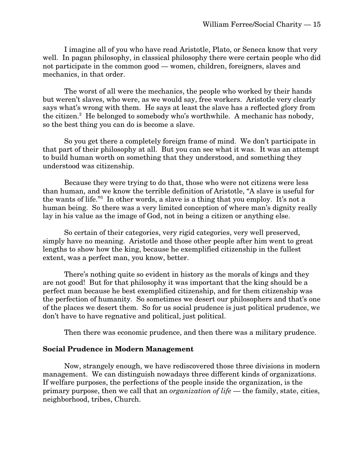I imagine all of you who have read Aristotle, Plato, or Seneca know that very well. In pagan philosophy, in classical philosophy there were certain people who did not participate in the common good — women, children, foreigners, slaves and mechanics, in that order.

The worst of all were the mechanics, the people who worked by their hands but weren't slaves, who were, as we would say, free workers. Aristotle very clearly says what's wrong with them. He says at least the slave has a reflected glory from the citizen.<sup>2</sup> He belonged to somebody who's worthwhile. A mechanic has nobody, so the best thing you can do is become a slave.

So you get there a completely foreign frame of mind. We don't participate in that part of their philosophy at all. But you can see what it was. It was an attempt to build human worth on something that they understood, and something they understood was citizenship.

Because they were trying to do that, those who were not citizens were less than human, and we know the terrible definition of Aristotle, "A slave is useful for the wants of life."<sup>3</sup> In other words, a slave is a thing that you employ. It's not a human being. So there was a very limited conception of where man's dignity really lay in his value as the image of God, not in being a citizen or anything else.

So certain of their categories, very rigid categories, very well preserved, simply have no meaning. Aristotle and those other people after him went to great lengths to show how the king, because he exemplified citizenship in the fullest extent, was a perfect man, you know, better.

There's nothing quite so evident in history as the morals of kings and they are not good! But for that philosophy it was important that the king should be a perfect man because he best exemplified citizenship, and for them citizenship was the perfection of humanity. So sometimes we desert our philosophers and that's one of the places we desert them. So for us social prudence is just political prudence, we don't have to have regnative and political, just political.

Then there was economic prudence, and then there was a military prudence.

#### **Social Prudence in Modern Management**

Now, strangely enough, we have rediscovered those three divisions in modern management. We can distinguish nowadays three different kinds of organizations. If welfare purposes, the perfections of the people inside the organization, is the primary purpose, then we call that an *organization of life* — the family, state, cities, neighborhood, tribes, Church.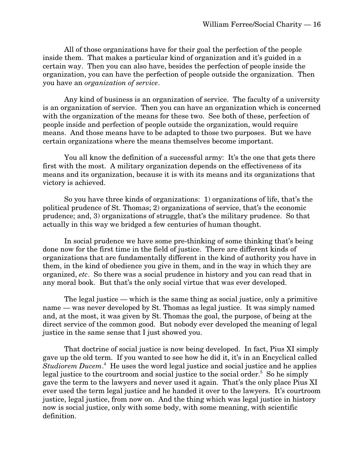All of those organizations have for their goal the perfection of the people inside them. That makes a particular kind of organization and it's guided in a certain way. Then you can also have, besides the perfection of people inside the organization, you can have the perfection of people outside the organization. Then you have an *organization of service*.

Any kind of business is an organization of service. The faculty of a university is an organization of service. Then you can have an organization which is concerned with the organization of the means for these two. See both of these, perfection of people inside and perfection of people outside the organization, would require means. And those means have to be adapted to those two purposes. But we have certain organizations where the means themselves become important.

You all know the definition of a successful army: It's the one that gets there first with the most. A military organization depends on the effectiveness of its means and its organization, because it is with its means and its organizations that victory is achieved.

So you have three kinds of organizations: 1) organizations of life, that's the political prudence of St. Thomas; 2) organizations of service, that's the economic prudence; and, 3) organizations of struggle, that's the military prudence. So that actually in this way we bridged a few centuries of human thought.

In social prudence we have some pre-thinking of some thinking that's being done now for the first time in the field of justice. There are different kinds of organizations that are fundamentally different in the kind of authority you have in them, in the kind of obedience you give in them, and in the way in which they are organized, *etc*. So there was a social prudence in history and you can read that in any moral book. But that's the only social virtue that was ever developed.

The legal justice — which is the same thing as social justice, only a primitive name — was never developed by St. Thomas as legal justice. It was simply named and, at the most, it was given by St. Thomas the goal, the purpose, of being at the direct service of the common good. But nobody ever developed the meaning of legal justice in the same sense that I just showed you.

That doctrine of social justice is now being developed. In fact, Pius XI simply gave up the old term. If you wanted to see how he did it, it's in an Encyclical called Studiorem Ducem.<sup>4</sup> He uses the word legal justice and social justice and he applies legal justice to the courtroom and social justice to the social order.<sup>5</sup> So he simply gave the term to the lawyers and never used it again. That's the only place Pius XI ever used the term legal justice and he handed it over to the lawyers. It's courtroom justice, legal justice, from now on. And the thing which was legal justice in history now is social justice, only with some body, with some meaning, with scientific definition.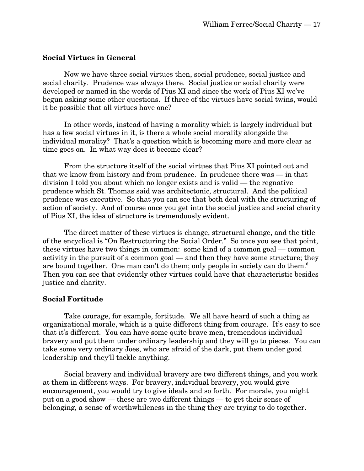#### **Social Virtues in General**

Now we have three social virtues then, social prudence, social justice and social charity. Prudence was always there. Social justice or social charity were developed or named in the words of Pius XI and since the work of Pius XI we've begun asking some other questions. If three of the virtues have social twins, would it be possible that all virtues have one?

In other words, instead of having a morality which is largely individual but has a few social virtues in it, is there a whole social morality alongside the individual morality? That's a question which is becoming more and more clear as time goes on. In what way does it become clear?

From the structure itself of the social virtues that Pius XI pointed out and that we know from history and from prudence. In prudence there was — in that division I told you about which no longer exists and is valid — the regnative prudence which St. Thomas said was architectonic, structural. And the political prudence was executive. So that you can see that both deal with the structuring of action of society. And of course once you get into the social justice and social charity of Pius XI, the idea of structure is tremendously evident.

The direct matter of these virtues is change, structural change, and the title of the encyclical is "On Restructuring the Social Order." So once you see that point, these virtues have two things in common: some kind of a common goal — common activity in the pursuit of a common goal — and then they have some structure; they are bound together. One man can't do them; only people in society can do them.<sup>6</sup> Then you can see that evidently other virtues could have that characteristic besides justice and charity.

#### **Social Fortitude**

Take courage, for example, fortitude. We all have heard of such a thing as organizational morale, which is a quite different thing from courage. It's easy to see that it's different. You can have some quite brave men, tremendous individual bravery and put them under ordinary leadership and they will go to pieces. You can take some very ordinary Joes, who are afraid of the dark, put them under good leadership and they'll tackle anything.

Social bravery and individual bravery are two different things, and you work at them in different ways. For bravery, individual bravery, you would give encouragement, you would try to give ideals and so forth. For morale, you might put on a good show — these are two different things — to get their sense of belonging, a sense of worthwhileness in the thing they are trying to do together.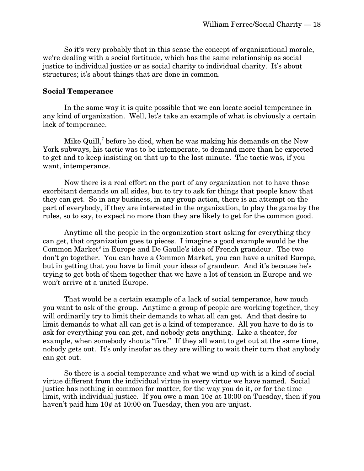So it's very probably that in this sense the concept of organizational morale, we're dealing with a social fortitude, which has the same relationship as social justice to individual justice or as social charity to individual charity. It's about structures; it's about things that are done in common.

#### **Social Temperance**

In the same way it is quite possible that we can locate social temperance in any kind of organization. Well, let's take an example of what is obviously a certain lack of temperance.

Mike Quill, $^7$  before he died, when he was making his demands on the New York subways, his tactic was to be intemperate, to demand more than he expected to get and to keep insisting on that up to the last minute. The tactic was, if you want, intemperance.

Now there is a real effort on the part of any organization not to have those exorbitant demands on all sides, but to try to ask for things that people know that they can get. So in any business, in any group action, there is an attempt on the part of everybody, if they are interested in the organization, to play the game by the rules, so to say, to expect no more than they are likely to get for the common good.

Anytime all the people in the organization start asking for everything they can get, that organization goes to pieces. I imagine a good example would be the Common Market<sup>8</sup> in Europe and De Gaulle's idea of French grandeur. The two don't go together. You can have a Common Market, you can have a united Europe, but in getting that you have to limit your ideas of grandeur. And it's because he's trying to get both of them together that we have a lot of tension in Europe and we won't arrive at a united Europe.

That would be a certain example of a lack of social temperance, how much you want to ask of the group. Anytime a group of people are working together, they will ordinarily try to limit their demands to what all can get. And that desire to limit demands to what all can get is a kind of temperance. All you have to do is to ask for everything you can get, and nobody gets anything. Like a theater, for example, when somebody shouts "fire." If they all want to get out at the same time, nobody gets out. It's only insofar as they are willing to wait their turn that anybody can get out.

So there is a social temperance and what we wind up with is a kind of social virtue different from the individual virtue in every virtue we have named. Social justice has nothing in common for matter, for the way you do it, or for the time limit, with individual justice. If you owe a man  $10¢$  at  $10:00$  on Tuesday, then if you haven't paid him  $10¢$  at  $10:00$  on Tuesday, then you are unjust.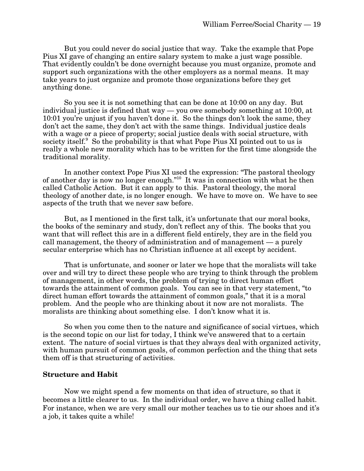But you could never do social justice that way. Take the example that Pope Pius XI gave of changing an entire salary system to make a just wage possible. That evidently couldn't be done overnight because you must organize, promote and support such organizations with the other employers as a normal means. It may take years to just organize and promote those organizations before they get anything done.

So you see it is not something that can be done at 10:00 on any day. But individual justice is defined that way — you owe somebody something at 10:00, at 10:01 you're unjust if you haven't done it. So the things don't look the same, they don't act the same, they don't act with the same things. Individual justice deals with a wage or a piece of property; social justice deals with social structure, with society itself.<sup>9</sup> So the probability is that what Pope Pius XI pointed out to us is really a whole new morality which has to be written for the first time alongside the traditional morality.

In another context Pope Pius XI used the expression: "The pastoral theology of another day is now no longer enough."<sup>10</sup> It was in connection with what he then called Catholic Action. But it can apply to this. Pastoral theology, the moral theology of another date, is no longer enough. We have to move on. We have to see aspects of the truth that we never saw before.

But, as I mentioned in the first talk, it's unfortunate that our moral books, the books of the seminary and study, don't reflect any of this. The books that you want that will reflect this are in a different field entirely, they are in the field you call management, the theory of administration and of management — a purely secular enterprise which has no Christian influence at all except by accident.

That is unfortunate, and sooner or later we hope that the moralists will take over and will try to direct these people who are trying to think through the problem of management, in other words, the problem of trying to direct human effort towards the attainment of common goals. You can see in that very statement, "to direct human effort towards the attainment of common goals," that it is a moral problem. And the people who are thinking about it now are not moralists. The moralists are thinking about something else. I don't know what it is.

So when you come then to the nature and significance of social virtues, which is the second topic on our list for today, I think we've answered that to a certain extent. The nature of social virtues is that they always deal with organized activity, with human pursuit of common goals, of common perfection and the thing that sets them off is that structuring of activities.

#### **Structure and Habit**

Now we might spend a few moments on that idea of structure, so that it becomes a little clearer to us. In the individual order, we have a thing called habit. For instance, when we are very small our mother teaches us to tie our shoes and it's a job, it takes quite a while!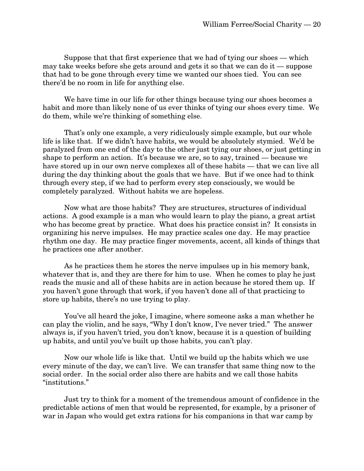Suppose that that first experience that we had of tying our shoes — which may take weeks before she gets around and gets it so that we can do it — suppose that had to be gone through every time we wanted our shoes tied. You can see there'd be no room in life for anything else.

We have time in our life for other things because tying our shoes becomes a habit and more than likely none of us ever thinks of tying our shoes every time. We do them, while we're thinking of something else.

That's only one example, a very ridiculously simple example, but our whole life is like that. If we didn't have habits, we would be absolutely stymied. We'd be paralyzed from one end of the day to the other just tying our shoes, or just getting in shape to perform an action. It's because we are, so to say, trained — because we have stored up in our own nerve complexes all of these habits — that we can live all during the day thinking about the goals that we have. But if we once had to think through every step, if we had to perform every step consciously, we would be completely paralyzed. Without habits we are hopeless.

Now what are those habits? They are structures, structures of individual actions. A good example is a man who would learn to play the piano, a great artist who has become great by practice. What does his practice consist in? It consists in organizing his nerve impulses. He may practice scales one day. He may practice rhythm one day. He may practice finger movements, accent, all kinds of things that he practices one after another.

As he practices them he stores the nerve impulses up in his memory bank, whatever that is, and they are there for him to use. When he comes to play he just reads the music and all of these habits are in action because he stored them up. If you haven't gone through that work, if you haven't done all of that practicing to store up habits, there's no use trying to play.

You've all heard the joke, I imagine, where someone asks a man whether he can play the violin, and he says, "Why I don't know, I've never tried." The answer always is, if you haven't tried, you don't know, because it is a question of building up habits, and until you've built up those habits, you can't play.

Now our whole life is like that. Until we build up the habits which we use every minute of the day, we can't live. We can transfer that same thing now to the social order. In the social order also there are habits and we call those habits "institutions."

Just try to think for a moment of the tremendous amount of confidence in the predictable actions of men that would be represented, for example, by a prisoner of war in Japan who would get extra rations for his companions in that war camp by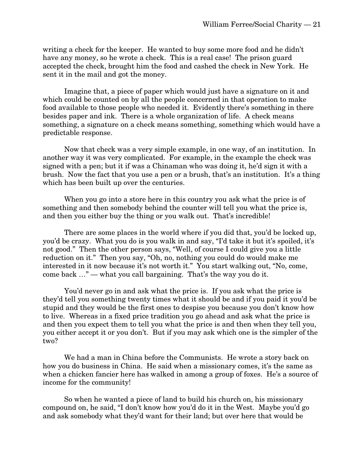writing a check for the keeper. He wanted to buy some more food and he didn't have any money, so he wrote a check. This is a real case! The prison guard accepted the check, brought him the food and cashed the check in New York. He sent it in the mail and got the money.

Imagine that, a piece of paper which would just have a signature on it and which could be counted on by all the people concerned in that operation to make food available to those people who needed it. Evidently there's something in there besides paper and ink. There is a whole organization of life. A check means something, a signature on a check means something, something which would have a predictable response.

Now that check was a very simple example, in one way, of an institution. In another way it was very complicated. For example, in the example the check was signed with a pen; but it if was a Chinaman who was doing it, he'd sign it with a brush. Now the fact that you use a pen or a brush, that's an institution. It's a thing which has been built up over the centuries.

When you go into a store here in this country you ask what the price is of something and then somebody behind the counter will tell you what the price is, and then you either buy the thing or you walk out. That's incredible!

There are some places in the world where if you did that, you'd be locked up, you'd be crazy. What you do is you walk in and say, "I'd take it but it's spoiled, it's not good." Then the other person says, "Well, of course I could give you a little reduction on it." Then you say, "Oh, no, nothing you could do would make me interested in it now because it's not worth it." You start walking out, "No, come, come back …" — what you call bargaining. That's the way you do it.

You'd never go in and ask what the price is. If you ask what the price is they'd tell you something twenty times what it should be and if you paid it you'd be stupid and they would be the first ones to despise you because you don't know how to live. Whereas in a fixed price tradition you go ahead and ask what the price is and then you expect them to tell you what the price is and then when they tell you, you either accept it or you don't. But if you may ask which one is the simpler of the two?

We had a man in China before the Communists. He wrote a story back on how you do business in China. He said when a missionary comes, it's the same as when a chicken fancier here has walked in among a group of foxes. He's a source of income for the community!

So when he wanted a piece of land to build his church on, his missionary compound on, he said, "I don't know how you'd do it in the West. Maybe you'd go and ask somebody what they'd want for their land; but over here that would be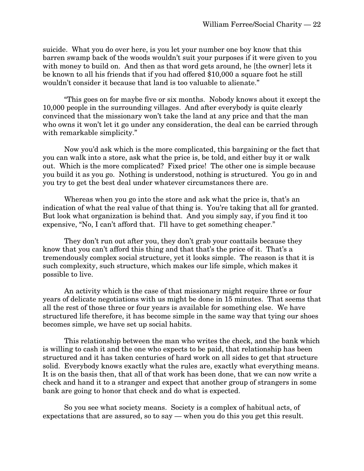suicide. What you do over here, is you let your number one boy know that this barren swamp back of the woods wouldn't suit your purposes if it were given to you with money to build on. And then as that word gets around, he [the owner] lets it be known to all his friends that if you had offered \$10,000 a square foot he still wouldn't consider it because that land is too valuable to alienate."

"This goes on for maybe five or six months. Nobody knows about it except the 10,000 people in the surrounding villages. And after everybody is quite clearly convinced that the missionary won't take the land at any price and that the man who owns it won't let it go under any consideration, the deal can be carried through with remarkable simplicity."

Now you'd ask which is the more complicated, this bargaining or the fact that you can walk into a store, ask what the price is, be told, and either buy it or walk out. Which is the more complicated? Fixed price! The other one is simple because you build it as you go. Nothing is understood, nothing is structured. You go in and you try to get the best deal under whatever circumstances there are.

Whereas when you go into the store and ask what the price is, that's an indication of what the real value of that thing is. You're taking that all for granted. But look what organization is behind that. And you simply say, if you find it too expensive, "No, I can't afford that. I'll have to get something cheaper."

They don't run out after you, they don't grab your coattails because they know that you can't afford this thing and that that's the price of it. That's a tremendously complex social structure, yet it looks simple. The reason is that it is such complexity, such structure, which makes our life simple, which makes it possible to live.

An activity which is the case of that missionary might require three or four years of delicate negotiations with us might be done in 15 minutes. That seems that all the rest of those three or four years is available for something else. We have structured life therefore, it has become simple in the same way that tying our shoes becomes simple, we have set up social habits.

This relationship between the man who writes the check, and the bank which is willing to cash it and the one who expects to be paid, that relationship has been structured and it has taken centuries of hard work on all sides to get that structure solid. Everybody knows exactly what the rules are, exactly what everything means. It is on the basis then, that all of that work has been done, that we can now write a check and hand it to a stranger and expect that another group of strangers in some bank are going to honor that check and do what is expected.

So you see what society means. Society is a complex of habitual acts, of expectations that are assured, so to say — when you do this you get this result.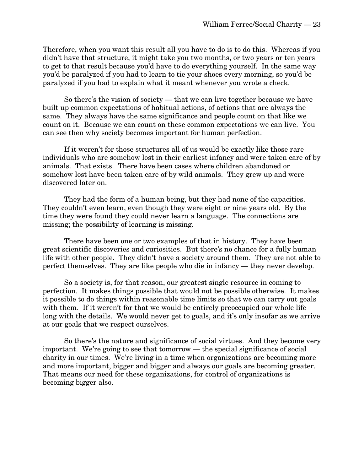Therefore, when you want this result all you have to do is to do this. Whereas if you didn't have that structure, it might take you two months, or two years or ten years to get to that result because you'd have to do everything yourself. In the same way you'd be paralyzed if you had to learn to tie your shoes every morning, so you'd be paralyzed if you had to explain what it meant whenever you wrote a check.

So there's the vision of society — that we can live together because we have built up common expectations of habitual actions, of actions that are always the same. They always have the same significance and people count on that like we count on it. Because we can count on these common expectations we can live. You can see then why society becomes important for human perfection.

If it weren't for those structures all of us would be exactly like those rare individuals who are somehow lost in their earliest infancy and were taken care of by animals. That exists. There have been cases where children abandoned or somehow lost have been taken care of by wild animals. They grew up and were discovered later on.

They had the form of a human being, but they had none of the capacities. They couldn't even learn, even though they were eight or nine years old. By the time they were found they could never learn a language. The connections are missing; the possibility of learning is missing.

There have been one or two examples of that in history. They have been great scientific discoveries and curiosities. But there's no chance for a fully human life with other people. They didn't have a society around them. They are not able to perfect themselves. They are like people who die in infancy — they never develop.

So a society is, for that reason, our greatest single resource in coming to perfection. It makes things possible that would not be possible otherwise. It makes it possible to do things within reasonable time limits so that we can carry out goals with them. If it weren't for that we would be entirely preoccupied our whole life long with the details. We would never get to goals, and it's only insofar as we arrive at our goals that we respect ourselves.

So there's the nature and significance of social virtues. And they become very important. We're going to see that tomorrow — the special significance of social charity in our times. We're living in a time when organizations are becoming more and more important, bigger and bigger and always our goals are becoming greater. That means our need for these organizations, for control of organizations is becoming bigger also.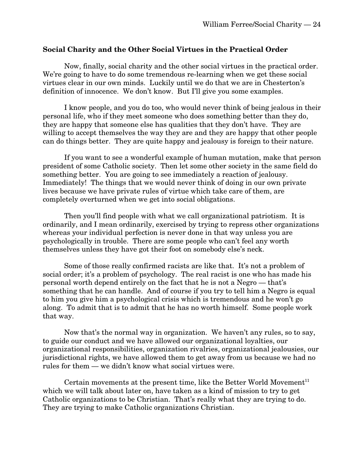#### **Social Charity and the Other Social Virtues in the Practical Order**

Now, finally, social charity and the other social virtues in the practical order. We're going to have to do some tremendous re-learning when we get these social virtues clear in our own minds. Luckily until we do that we are in Chesterton's definition of innocence. We don't know. But I'll give you some examples.

I know people, and you do too, who would never think of being jealous in their personal life, who if they meet someone who does something better than they do, they are happy that someone else has qualities that they don't have. They are willing to accept themselves the way they are and they are happy that other people can do things better. They are quite happy and jealousy is foreign to their nature.

If you want to see a wonderful example of human mutation, make that person president of some Catholic society. Then let some other society in the same field do something better. You are going to see immediately a reaction of jealousy. Immediately! The things that we would never think of doing in our own private lives because we have private rules of virtue which take care of them, are completely overturned when we get into social obligations.

Then you'll find people with what we call organizational patriotism. It is ordinarily, and I mean ordinarily, exercised by trying to repress other organizations whereas your individual perfection is never done in that way unless you are psychologically in trouble. There are some people who can't feel any worth themselves unless they have got their foot on somebody else's neck.

Some of those really confirmed racists are like that. It's not a problem of social order; it's a problem of psychology. The real racist is one who has made his personal worth depend entirely on the fact that he is not a Negro — that's something that he can handle. And of course if you try to tell him a Negro is equal to him you give him a psychological crisis which is tremendous and he won't go along. To admit that is to admit that he has no worth himself. Some people work that way.

Now that's the normal way in organization. We haven't any rules, so to say, to guide our conduct and we have allowed our organizational loyalties, our organizational responsibilities, organization rivalries, organizational jealousies, our jurisdictional rights, we have allowed them to get away from us because we had no rules for them — we didn't know what social virtues were.

Certain movements at the present time, like the Better World Movement<sup>11</sup> which we will talk about later on, have taken as a kind of mission to try to get Catholic organizations to be Christian. That's really what they are trying to do. They are trying to make Catholic organizations Christian.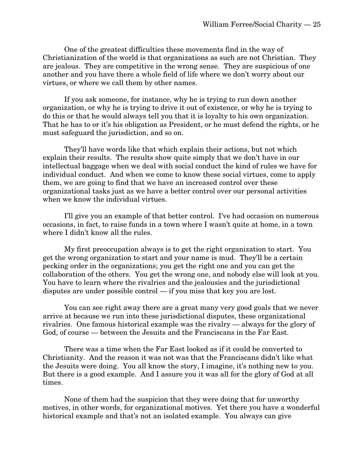One of the greatest difficulties these movements find in the way of Christianization of the world is that organizations as such are not Christian. They are jealous. They are competitive in the wrong sense. They are suspicious of one another and you have there a whole field of life where we don't worry about our virtues, or where we call them by other names.

If you ask someone, for instance, why he is trying to run down another organization, or why he is trying to drive it out of existence, or why he is trying to do this or that he would always tell you that it is loyalty to his own organization. That he has to or it's his obligation as President, or he must defend the rights, or he must safeguard the jurisdiction, and so on.

They'll have words like that which explain their actions, but not which explain their results. The results show quite simply that we don't have in our intellectual baggage when we deal with social conduct the kind of rules we have for individual conduct. And when we come to know these social virtues, come to apply them, we are going to find that we have an increased control over these organizational tasks just as we have a better control over our personal activities when we know the individual virtues.

I'll give you an example of that better control. I've had occasion on numerous occasions, in fact, to raise funds in a town where I wasn't quite at home, in a town where I didn't know all the rules.

My first preoccupation always is to get the right organization to start. You get the wrong organization to start and your name is mud. They'll be a certain pecking order in the organizations; you get the right one and you can get the collaboration of the others. You get the wrong one, and nobody else will look at you. You have to learn where the rivalries and the jealousies and the jurisdictional disputes are under possible control — if you miss that key you are lost.

You can see right away there are a great many very good goals that we never arrive at because we run into these jurisdictional disputes, these organizational rivalries. One famous historical example was the rivalry — always for the glory of God, of course — between the Jesuits and the Franciscans in the Far East.

There was a time when the Far East looked as if it could be converted to Christianity. And the reason it was not was that the Franciscans didn't like what the Jesuits were doing. You all know the story, I imagine, it's nothing new to you. But there is a good example. And I assure you it was all for the glory of God at all times.

None of them had the suspicion that they were doing that for unworthy motives, in other words, for organizational motives. Yet there you have a wonderful historical example and that's not an isolated example. You always can give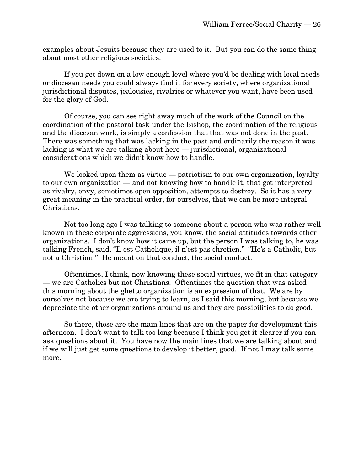examples about Jesuits because they are used to it. But you can do the same thing about most other religious societies.

If you get down on a low enough level where you'd be dealing with local needs or diocesan needs you could always find it for every society, where organizational jurisdictional disputes, jealousies, rivalries or whatever you want, have been used for the glory of God.

Of course, you can see right away much of the work of the Council on the coordination of the pastoral task under the Bishop, the coordination of the religious and the diocesan work, is simply a confession that that was not done in the past. There was something that was lacking in the past and ordinarily the reason it was lacking is what we are talking about here — jurisdictional, organizational considerations which we didn't know how to handle.

We looked upon them as virtue — patriotism to our own organization, loyalty to our own organization — and not knowing how to handle it, that got interpreted as rivalry, envy, sometimes open opposition, attempts to destroy. So it has a very great meaning in the practical order, for ourselves, that we can be more integral Christians.

Not too long ago I was talking to someone about a person who was rather well known in these corporate aggressions, you know, the social attitudes towards other organizations. I don't know how it came up, but the person I was talking to, he was talking French, said, "Il est Catholique, il n'est pas chretien." "He's a Catholic, but not a Christian!" He meant on that conduct, the social conduct.

Oftentimes, I think, now knowing these social virtues, we fit in that category — we are Catholics but not Christians. Oftentimes the question that was asked this morning about the ghetto organization is an expression of that. We are by ourselves not because we are trying to learn, as I said this morning, but because we depreciate the other organizations around us and they are possibilities to do good.

So there, those are the main lines that are on the paper for development this afternoon. I don't want to talk too long because I think you get it clearer if you can ask questions about it. You have now the main lines that we are talking about and if we will just get some questions to develop it better, good. If not I may talk some more.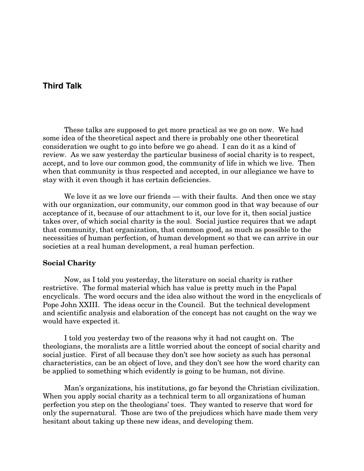# **Third Talk**

These talks are supposed to get more practical as we go on now. We had some idea of the theoretical aspect and there is probably one other theoretical consideration we ought to go into before we go ahead. I can do it as a kind of review. As we saw yesterday the particular business of social charity is to respect, accept, and to love our common good, the community of life in which we live. Then when that community is thus respected and accepted, in our allegiance we have to stay with it even though it has certain deficiencies.

We love it as we love our friends — with their faults. And then once we stay with our organization, our community, our common good in that way because of our acceptance of it, because of our attachment to it, our love for it, then social justice takes over, of which social charity is the soul. Social justice requires that we adapt that community, that organization, that common good, as much as possible to the necessities of human perfection, of human development so that we can arrive in our societies at a real human development, a real human perfection.

#### **Social Charity**

Now, as I told you yesterday, the literature on social charity is rather restrictive. The formal material which has value is pretty much in the Papal encyclicals. The word occurs and the idea also without the word in the encyclicals of Pope John XXIII. The ideas occur in the Council. But the technical development and scientific analysis and elaboration of the concept has not caught on the way we would have expected it.

I told you yesterday two of the reasons why it had not caught on. The theologians, the moralists are a little worried about the concept of social charity and social justice. First of all because they don't see how society as such has personal characteristics, can be an object of love, and they don't see how the word charity can be applied to something which evidently is going to be human, not divine.

Man's organizations, his institutions, go far beyond the Christian civilization. When you apply social charity as a technical term to all organizations of human perfection you step on the theologians' toes. They wanted to reserve that word for only the supernatural. Those are two of the prejudices which have made them very hesitant about taking up these new ideas, and developing them.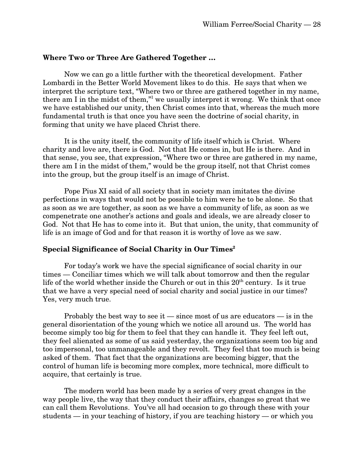#### **Where Two or Three Are Gathered Together …**

Now we can go a little further with the theoretical development. Father Lombardi in the Better World Movement likes to do this. He says that when we interpret the scripture text, "Where two or three are gathered together in my name, there am I in the midst of them," we usually interpret it wrong. We think that once we have established our unity, then Christ comes into that, whereas the much more fundamental truth is that once you have seen the doctrine of social charity, in forming that unity we have placed Christ there.

It is the unity itself, the community of life itself which is Christ. Where charity and love are, there is God. Not that He comes in, but He is there. And in that sense, you see, that expression, "Where two or three are gathered in my name, there am I in the midst of them," would be the group itself, not that Christ comes into the group, but the group itself is an image of Christ.

Pope Pius XI said of all society that in society man imitates the divine perfections in ways that would not be possible to him were he to be alone. So that as soon as we are together, as soon as we have a community of life, as soon as we compenetrate one another's actions and goals and ideals, we are already closer to God. Not that He has to come into it. But that union, the unity, that community of life is an image of God and for that reason it is worthy of love as we saw.

#### **Special Significance of Social Charity in Our Times<sup>2</sup>**

For today's work we have the special significance of social charity in our times — Conciliar times which we will talk about tomorrow and then the regular life of the world whether inside the Church or out in this  $20<sup>th</sup>$  century. Is it true that we have a very special need of social charity and social justice in our times? Yes, very much true.

Probably the best way to see it — since most of us are educators — is in the general disorientation of the young which we notice all around us. The world has become simply too big for them to feel that they can handle it. They feel left out, they feel alienated as some of us said yesterday, the organizations seem too big and too impersonal, too unmanageable and they revolt. They feel that too much is being asked of them. That fact that the organizations are becoming bigger, that the control of human life is becoming more complex, more technical, more difficult to acquire, that certainly is true.

The modern world has been made by a series of very great changes in the way people live, the way that they conduct their affairs, changes so great that we can call them Revolutions. You've all had occasion to go through these with your students — in your teaching of history, if you are teaching history — or which you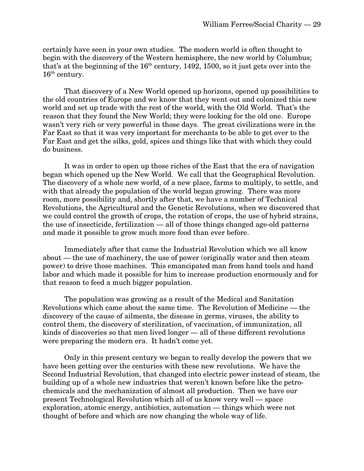certainly have seen in your own studies. The modern world is often thought to begin with the discovery of the Western hemisphere, the new world by Columbus; that's at the beginning of the  $16<sup>th</sup>$  century, 1492, 1500, so it just gets over into the  $16<sup>th</sup>$  century.

That discovery of a New World opened up horizons, opened up possibilities to the old countries of Europe and we know that they went out and colonized this new world and set up trade with the rest of the world, with the Old World. That's the reason that they found the New World; they were looking for the old one. Europe wasn't very rich or very powerful in those days. The great civilizations were in the Far East so that it was very important for merchants to be able to get over to the Far East and get the silks, gold, spices and things like that with which they could do business.

It was in order to open up those riches of the East that the era of navigation began which opened up the New World. We call that the Geographical Revolution. The discovery of a whole new world, of a new place, farms to multiply, to settle, and with that already the population of the world began growing. There was more room, more possibility and, shortly after that, we have a number of Technical Revolutions, the Agricultural and the Genetic Revolutions, when we discovered that we could control the growth of crops, the rotation of crops, the use of hybrid strains, the use of insecticide, fertilization — all of those things changed age-old patterns and made it possible to grow much more food than ever before.

Immediately after that came the Industrial Revolution which we all know about — the use of machinery, the use of power (originally water and then steam power) to drive those machines. This emancipated man from hand tools and hand labor and which made it possible for him to increase production enormously and for that reason to feed a much bigger population.

The population was growing as a result of the Medical and Sanitation Revolutions which came about the same time. The Revolution of Medicine — the discovery of the cause of ailments, the disease in germs, viruses, the ability to control them, the discovery of sterilization, of vaccination, of immunization, all kinds of discoveries so that men lived longer — all of these different revolutions were preparing the modern era. It hadn't come yet.

Only in this present century we began to really develop the powers that we have been getting over the centuries with these new revolutions. We have the Second Industrial Revolution, that changed into electric power instead of steam, the building up of a whole new industries that weren't known before like the petrochemicals and the mechanization of almost all production. Then we have our present Technological Revolution which all of us know very well — space exploration, atomic energy, antibiotics, automation — things which were not thought of before and which are now changing the whole way of life.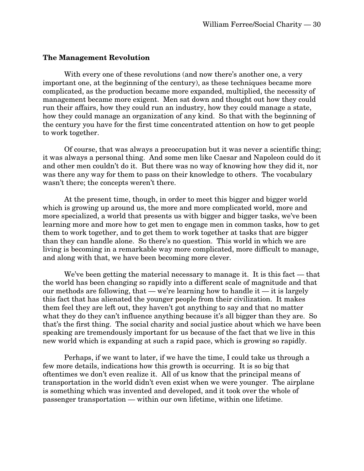#### **The Management Revolution**

With every one of these revolutions (and now there's another one, a very important one, at the beginning of the century), as these techniques became more complicated, as the production became more expanded, multiplied, the necessity of management became more exigent. Men sat down and thought out how they could run their affairs, how they could run an industry, how they could manage a state, how they could manage an organization of any kind. So that with the beginning of the century you have for the first time concentrated attention on how to get people to work together.

Of course, that was always a preoccupation but it was never a scientific thing; it was always a personal thing. And some men like Caesar and Napoleon could do it and other men couldn't do it. But there was no way of knowing how they did it, nor was there any way for them to pass on their knowledge to others. The vocabulary wasn't there; the concepts weren't there.

At the present time, though, in order to meet this bigger and bigger world which is growing up around us, the more and more complicated world, more and more specialized, a world that presents us with bigger and bigger tasks, we've been learning more and more how to get men to engage men in common tasks, how to get them to work together, and to get them to work together at tasks that are bigger than they can handle alone. So there's no question. This world in which we are living is becoming in a remarkable way more complicated, more difficult to manage, and along with that, we have been becoming more clever.

We've been getting the material necessary to manage it. It is this fact — that the world has been changing so rapidly into a different scale of magnitude and that our methods are following, that — we're learning how to handle it — it is largely this fact that has alienated the younger people from their civilization. It makes them feel they are left out, they haven't got anything to say and that no matter what they do they can't influence anything because it's all bigger than they are. So that's the first thing. The social charity and social justice about which we have been speaking are tremendously important for us because of the fact that we live in this new world which is expanding at such a rapid pace, which is growing so rapidly.

Perhaps, if we want to later, if we have the time, I could take us through a few more details, indications how this growth is occurring. It is so big that oftentimes we don't even realize it. All of us know that the principal means of transportation in the world didn't even exist when we were younger. The airplane is something which was invented and developed, and it took over the whole of passenger transportation — within our own lifetime, within one lifetime.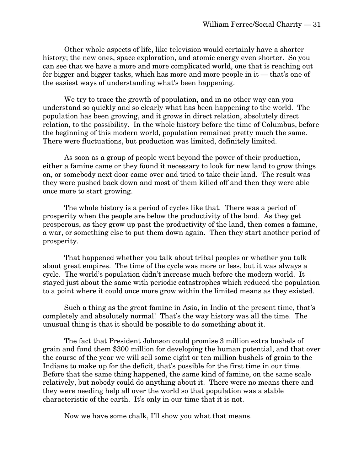Other whole aspects of life, like television would certainly have a shorter history; the new ones, space exploration, and atomic energy even shorter. So you can see that we have a more and more complicated world, one that is reaching out for bigger and bigger tasks, which has more and more people in it — that's one of the easiest ways of understanding what's been happening.

We try to trace the growth of population, and in no other way can you understand so quickly and so clearly what has been happening to the world. The population has been growing, and it grows in direct relation, absolutely direct relation, to the possibility. In the whole history before the time of Columbus, before the beginning of this modern world, population remained pretty much the same. There were fluctuations, but production was limited, definitely limited.

As soon as a group of people went beyond the power of their production, either a famine came or they found it necessary to look for new land to grow things on, or somebody next door came over and tried to take their land. The result was they were pushed back down and most of them killed off and then they were able once more to start growing.

The whole history is a period of cycles like that. There was a period of prosperity when the people are below the productivity of the land. As they get prosperous, as they grow up past the productivity of the land, then comes a famine, a war, or something else to put them down again. Then they start another period of prosperity.

That happened whether you talk about tribal peoples or whether you talk about great empires. The time of the cycle was more or less, but it was always a cycle. The world's population didn't increase much before the modern world. It stayed just about the same with periodic catastrophes which reduced the population to a point where it could once more grow within the limited means as they existed.

Such a thing as the great famine in Asia, in India at the present time, that's completely and absolutely normal! That's the way history was all the time. The unusual thing is that it should be possible to do something about it.

The fact that President Johnson could promise 3 million extra bushels of grain and fund them \$300 million for developing the human potential, and that over the course of the year we will sell some eight or ten million bushels of grain to the Indians to make up for the deficit, that's possible for the first time in our time. Before that the same thing happened, the same kind of famine, on the same scale relatively, but nobody could do anything about it. There were no means there and they were needing help all over the world so that population was a stable characteristic of the earth. It's only in our time that it is not.

Now we have some chalk, I'll show you what that means.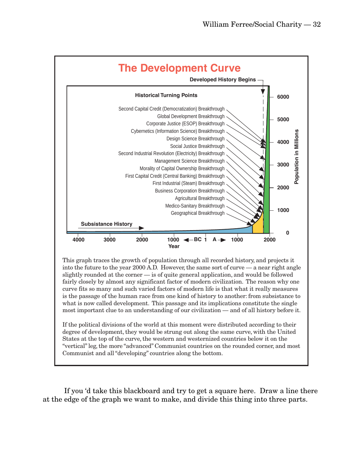

If you 'd take this blackboard and try to get a square here. Draw a line there at the edge of the graph we want to make, and divide this thing into three parts.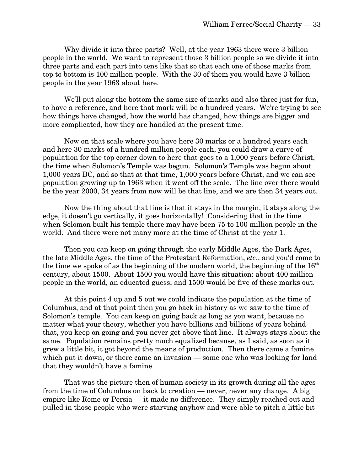Why divide it into three parts? Well, at the year 1963 there were 3 billion people in the world. We want to represent those 3 billion people so we divide it into three parts and each part into tens like that so that each one of those marks from top to bottom is 100 million people. With the 30 of them you would have 3 billion people in the year 1963 about here.

We'll put along the bottom the same size of marks and also three just for fun, to have a reference, and here that mark will be a hundred years. We're trying to see how things have changed, how the world has changed, how things are bigger and more complicated, how they are handled at the present time.

Now on that scale where you have here 30 marks or a hundred years each and here 30 marks of a hundred million people each, you could draw a curve of population for the top corner down to here that goes to a 1,000 years before Christ, the time when Solomon's Temple was begun. Solomon's Temple was begun about 1,000 years BC, and so that at that time, 1,000 years before Christ, and we can see population growing up to 1963 when it went off the scale. The line over there would be the year 2000, 34 years from now will be that line, and we are then 34 years out.

Now the thing about that line is that it stays in the margin, it stays along the edge, it doesn't go vertically, it goes horizontally! Considering that in the time when Solomon built his temple there may have been 75 to 100 million people in the world. And there were not many more at the time of Christ at the year 1.

Then you can keep on going through the early Middle Ages, the Dark Ages, the late Middle Ages, the time of the Protestant Reformation, *etc*., and you'd come to the time we spoke of as the beginning of the modern world, the beginning of the  $16<sup>th</sup>$ century, about 1500. About 1500 you would have this situation: about 400 million people in the world, an educated guess, and 1500 would be five of these marks out.

At this point 4 up and 5 out we could indicate the population at the time of Columbus, and at that point then you go back in history as we saw to the time of Solomon's temple. You can keep on going back as long as you want, because no matter what your theory, whether you have billions and billions of years behind that, you keep on going and you never get above that line. It always stays about the same. Population remains pretty much equalized because, as I said, as soon as it grew a little bit, it got beyond the means of production. Then there came a famine which put it down, or there came an invasion — some one who was looking for land that they wouldn't have a famine.

That was the picture then of human society in its growth during all the ages from the time of Columbus on back to creation — never, never any change. A big empire like Rome or Persia — it made no difference. They simply reached out and pulled in those people who were starving anyhow and were able to pitch a little bit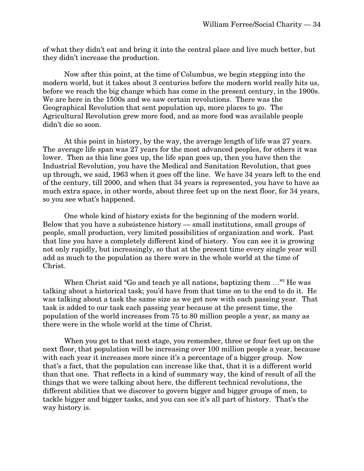of what they didn't eat and bring it into the central place and live much better, but they didn't increase the production.

Now after this point, at the time of Columbus, we begin stepping into the modern world, but it takes about 3 centuries before the modern world really hits us, before we reach the big change which has come in the present century, in the 1900s. We are here in the 1500s and we saw certain revolutions. There was the Geographical Revolution that sent population up, more places to go. The Agricultural Revolution grew more food, and as more food was available people didn't die so soon.

At this point in history, by the way, the average length of life was 27 years. The average life span was 27 years for the most advanced peoples, for others it was lower. Then as this line goes up, the life span goes up, then you have then the Industrial Revolution, you have the Medical and Sanitation Revolution, that goes up through, we said, 1963 when it goes off the line. We have 34 years left to the end of the century, till 2000, and when that 34 years is represented, you have to have as much extra space, in other words, about three feet up on the next floor, for 34 years, so you see what's happened.

One whole kind of history exists for the beginning of the modern world. Below that you have a subsistence history — small institutions, small groups of people, small production, very limited possibilities of organization and work. Past that line you have a completely different kind of history. You can see it is growing not only rapidly, but increasingly, so that at the present time every single year will add as much to the population as there were in the whole world at the time of Christ.

When Christ said "Go and teach ye all nations, baptizing them ..."<sup>3</sup> He was talking about a historical task; you'd have from that time on to the end to do it. He was talking about a task the same size as we get now with each passing year. That task is added to our task each passing year because at the present time, the population of the world increases from 75 to 80 million people a year, as many as there were in the whole world at the time of Christ.

When you get to that next stage, you remember, three or four feet up on the next floor, that population will be increasing over 100 million people a year, because with each year it increases more since it's a percentage of a bigger group. Now that's a fact, that the population can increase like that, that it is a different world than that one. That reflects in a kind of summary way, the kind of result of all the things that we were talking about here, the different technical revolutions, the different abilities that we discover to govern bigger and bigger groups of men, to tackle bigger and bigger tasks, and you can see it's all part of history. That's the way history is.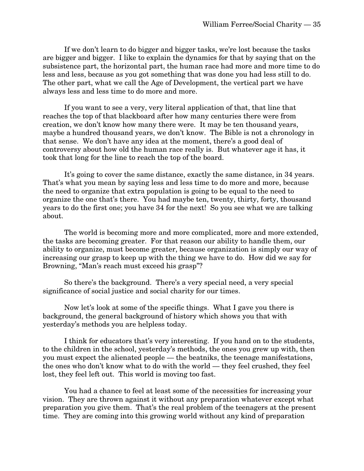If we don't learn to do bigger and bigger tasks, we're lost because the tasks are bigger and bigger. I like to explain the dynamics for that by saying that on the subsistence part, the horizontal part, the human race had more and more time to do less and less, because as you got something that was done you had less still to do. The other part, what we call the Age of Development, the vertical part we have always less and less time to do more and more.

If you want to see a very, very literal application of that, that line that reaches the top of that blackboard after how many centuries there were from creation, we don't know how many there were. It may be ten thousand years, maybe a hundred thousand years, we don't know. The Bible is not a chronology in that sense. We don't have any idea at the moment, there's a good deal of controversy about how old the human race really is. But whatever age it has, it took that long for the line to reach the top of the board.

It's going to cover the same distance, exactly the same distance, in 34 years. That's what you mean by saying less and less time to do more and more, because the need to organize that extra population is going to be equal to the need to organize the one that's there. You had maybe ten, twenty, thirty, forty, thousand years to do the first one; you have 34 for the next! So you see what we are talking about.

The world is becoming more and more complicated, more and more extended, the tasks are becoming greater. For that reason our ability to handle them, our ability to organize, must become greater, because organization is simply our way of increasing our grasp to keep up with the thing we have to do. How did we say for Browning, "Man's reach must exceed his grasp"?

So there's the background. There's a very special need, a very special significance of social justice and social charity for our times.

Now let's look at some of the specific things. What I gave you there is background, the general background of history which shows you that with yesterday's methods you are helpless today.

I think for educators that's very interesting. If you hand on to the students, to the children in the school, yesterday's methods, the ones you grew up with, then you must expect the alienated people — the beatniks, the teenage manifestations, the ones who don't know what to do with the world — they feel crushed, they feel lost, they feel left out. This world is moving too fast.

You had a chance to feel at least some of the necessities for increasing your vision. They are thrown against it without any preparation whatever except what preparation you give them. That's the real problem of the teenagers at the present time. They are coming into this growing world without any kind of preparation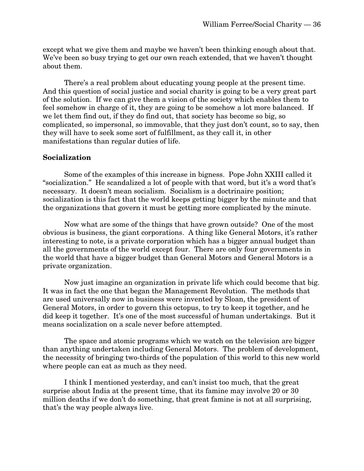except what we give them and maybe we haven't been thinking enough about that. We've been so busy trying to get our own reach extended, that we haven't thought about them.

There's a real problem about educating young people at the present time. And this question of social justice and social charity is going to be a very great part of the solution. If we can give them a vision of the society which enables them to feel somehow in charge of it, they are going to be somehow a lot more balanced. If we let them find out, if they do find out, that society has become so big, so complicated, so impersonal, so immovable, that they just don't count, so to say, then they will have to seek some sort of fulfillment, as they call it, in other manifestations than regular duties of life.

#### **Socialization**

Some of the examples of this increase in bigness. Pope John XXIII called it "socialization." He scandalized a lot of people with that word, but it's a word that's necessary. It doesn't mean socialism. Socialism is a doctrinaire position; socialization is this fact that the world keeps getting bigger by the minute and that the organizations that govern it must be getting more complicated by the minute.

Now what are some of the things that have grown outside? One of the most obvious is business, the giant corporations. A thing like General Motors, it's rather interesting to note, is a private corporation which has a bigger annual budget than all the governments of the world except four. There are only four governments in the world that have a bigger budget than General Motors and General Motors is a private organization.

Now just imagine an organization in private life which could become that big. It was in fact the one that began the Management Revolution. The methods that are used universally now in business were invented by Sloan, the president of General Motors, in order to govern this octopus, to try to keep it together, and he did keep it together. It's one of the most successful of human undertakings. But it means socialization on a scale never before attempted.

The space and atomic programs which we watch on the television are bigger than anything undertaken including General Motors. The problem of development, the necessity of bringing two-thirds of the population of this world to this new world where people can eat as much as they need.

I think I mentioned yesterday, and can't insist too much, that the great surprise about India at the present time, that its famine may involve 20 or 30 million deaths if we don't do something, that great famine is not at all surprising, that's the way people always live.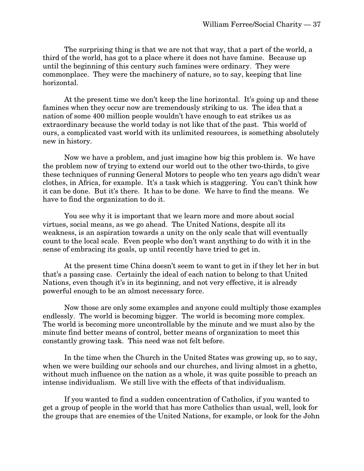The surprising thing is that we are not that way, that a part of the world, a third of the world, has got to a place where it does not have famine. Because up until the beginning of this century such famines were ordinary. They were commonplace. They were the machinery of nature, so to say, keeping that line horizontal.

At the present time we don't keep the line horizontal. It's going up and these famines when they occur now are tremendously striking to us. The idea that a nation of some 400 million people wouldn't have enough to eat strikes us as extraordinary because the world today is not like that of the past. This world of ours, a complicated vast world with its unlimited resources, is something absolutely new in history.

Now we have a problem, and just imagine how big this problem is. We have the problem now of trying to extend our world out to the other two-thirds, to give these techniques of running General Motors to people who ten years ago didn't wear clothes, in Africa, for example. It's a task which is staggering. You can't think how it can be done. But it's there. It has to be done. We have to find the means. We have to find the organization to do it.

You see why it is important that we learn more and more about social virtues, social means, as we go ahead. The United Nations, despite all its weakness, is an aspiration towards a unity on the only scale that will eventually count to the local scale. Even people who don't want anything to do with it in the sense of embracing its goals, up until recently have tried to get in.

At the present time China doesn't seem to want to get in if they let her in but that's a passing case. Certainly the ideal of each nation to belong to that United Nations, even though it's in its beginning, and not very effective, it is already powerful enough to be an almost necessary force.

Now those are only some examples and anyone could multiply those examples endlessly. The world is becoming bigger. The world is becoming more complex. The world is becoming more uncontrollable by the minute and we must also by the minute find better means of control, better means of organization to meet this constantly growing task. This need was not felt before.

In the time when the Church in the United States was growing up, so to say, when we were building our schools and our churches, and living almost in a ghetto, without much influence on the nation as a whole, it was quite possible to preach an intense individualism. We still live with the effects of that individualism.

If you wanted to find a sudden concentration of Catholics, if you wanted to get a group of people in the world that has more Catholics than usual, well, look for the groups that are enemies of the United Nations, for example, or look for the John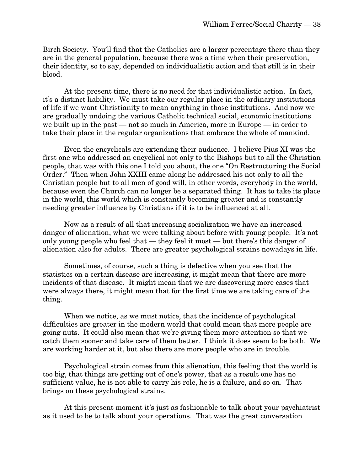Birch Society. You'll find that the Catholics are a larger percentage there than they are in the general population, because there was a time when their preservation, their identity, so to say, depended on individualistic action and that still is in their blood.

At the present time, there is no need for that individualistic action. In fact, it's a distinct liability. We must take our regular place in the ordinary institutions of life if we want Christianity to mean anything in those institutions. And now we are gradually undoing the various Catholic technical social, economic institutions we built up in the past — not so much in America, more in Europe — in order to take their place in the regular organizations that embrace the whole of mankind.

Even the encyclicals are extending their audience. I believe Pius XI was the first one who addressed an encyclical not only to the Bishops but to all the Christian people, that was with this one I told you about, the one "On Restructuring the Social Order." Then when John XXIII came along he addressed his not only to all the Christian people but to all men of good will, in other words, everybody in the world, because even the Church can no longer be a separated thing. It has to take its place in the world, this world which is constantly becoming greater and is constantly needing greater influence by Christians if it is to be influenced at all.

Now as a result of all that increasing socialization we have an increased danger of alienation, what we were talking about before with young people. It's not only young people who feel that — they feel it most — but there's this danger of alienation also for adults. There are greater psychological strains nowadays in life.

Sometimes, of course, such a thing is defective when you see that the statistics on a certain disease are increasing, it might mean that there are more incidents of that disease. It might mean that we are discovering more cases that were always there, it might mean that for the first time we are taking care of the thing.

When we notice, as we must notice, that the incidence of psychological difficulties are greater in the modern world that could mean that more people are going nuts. It could also mean that we're giving them more attention so that we catch them sooner and take care of them better. I think it does seem to be both. We are working harder at it, but also there are more people who are in trouble.

Psychological strain comes from this alienation, this feeling that the world is too big, that things are getting out of one's power, that as a result one has no sufficient value, he is not able to carry his role, he is a failure, and so on. That brings on these psychological strains.

At this present moment it's just as fashionable to talk about your psychiatrist as it used to be to talk about your operations. That was the great conversation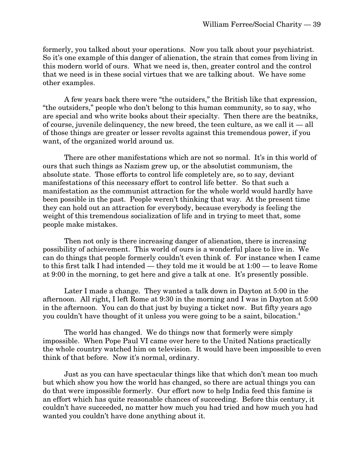formerly, you talked about your operations. Now you talk about your psychiatrist. So it's one example of this danger of alienation, the strain that comes from living in this modern world of ours. What we need is, then, greater control and the control that we need is in these social virtues that we are talking about. We have some other examples.

A few years back there were "the outsiders," the British like that expression, "the outsiders," people who don't belong to this human community, so to say, who are special and who write books about their specialty. Then there are the beatniks, of course, juvenile delinquency, the new breed, the teen culture, as we call it — all of those things are greater or lesser revolts against this tremendous power, if you want, of the organized world around us.

There are other manifestations which are not so normal. It's in this world of ours that such things as Nazism grew up, or the absolutist communism, the absolute state. Those efforts to control life completely are, so to say, deviant manifestations of this necessary effort to control life better. So that such a manifestation as the communist attraction for the whole world would hardly have been possible in the past. People weren't thinking that way. At the present time they can hold out an attraction for everybody, because everybody is feeling the weight of this tremendous socialization of life and in trying to meet that, some people make mistakes.

Then not only is there increasing danger of alienation, there is increasing possibility of achievement. This world of ours is a wonderful place to live in. We can do things that people formerly couldn't even think of. For instance when I came to this first talk I had intended — they told me it would be at 1:00 — to leave Rome at 9:00 in the morning, to get here and give a talk at one. It's presently possible.

Later I made a change. They wanted a talk down in Dayton at 5:00 in the afternoon. All right, I left Rome at 9:30 in the morning and I was in Dayton at 5:00 in the afternoon. You can do that just by buying a ticket now. But fifty years ago you couldn't have thought of it unless you were going to be a saint, bilocation.4

The world has changed. We do things now that formerly were simply impossible. When Pope Paul VI came over here to the United Nations practically the whole country watched him on television. It would have been impossible to even think of that before. Now it's normal, ordinary.

Just as you can have spectacular things like that which don't mean too much but which show you how the world has changed, so there are actual things you can do that were impossible formerly. Our effort now to help India feed this famine is an effort which has quite reasonable chances of succeeding. Before this century, it couldn't have succeeded, no matter how much you had tried and how much you had wanted you couldn't have done anything about it.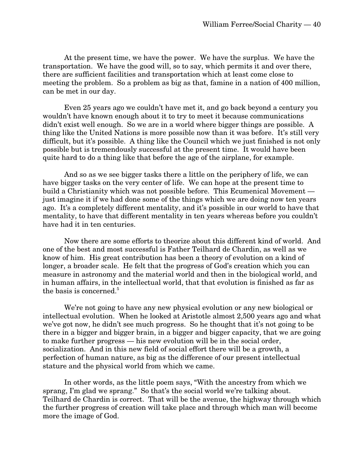At the present time, we have the power. We have the surplus. We have the transportation. We have the good will, so to say, which permits it and over there, there are sufficient facilities and transportation which at least come close to meeting the problem. So a problem as big as that, famine in a nation of 400 million, can be met in our day.

Even 25 years ago we couldn't have met it, and go back beyond a century you wouldn't have known enough about it to try to meet it because communications didn't exist well enough. So we are in a world where bigger things are possible. A thing like the United Nations is more possible now than it was before. It's still very difficult, but it's possible. A thing like the Council which we just finished is not only possible but is tremendously successful at the present time. It would have been quite hard to do a thing like that before the age of the airplane, for example.

And so as we see bigger tasks there a little on the periphery of life, we can have bigger tasks on the very center of life. We can hope at the present time to build a Christianity which was not possible before. This Ecumenical Movement just imagine it if we had done some of the things which we are doing now ten years ago. It's a completely different mentality, and it's possible in our world to have that mentality, to have that different mentality in ten years whereas before you couldn't have had it in ten centuries.

Now there are some efforts to theorize about this different kind of world. And one of the best and most successful is Father Teilhard de Chardin, as well as we know of him. His great contribution has been a theory of evolution on a kind of longer, a broader scale. He felt that the progress of God's creation which you can measure in astronomy and the material world and then in the biological world, and in human affairs, in the intellectual world, that that evolution is finished as far as the basis is concerned.<sup>5</sup>

We're not going to have any new physical evolution or any new biological or intellectual evolution. When he looked at Aristotle almost 2,500 years ago and what we've got now, he didn't see much progress. So he thought that it's not going to be there in a bigger and bigger brain, in a bigger and bigger capacity, that we are going to make further progress — his new evolution will be in the social order, socialization. And in this new field of social effort there will be a growth, a perfection of human nature, as big as the difference of our present intellectual stature and the physical world from which we came.

In other words, as the little poem says, "With the ancestry from which we sprang, I'm glad we sprang." So that's the social world we're talking about. Teilhard de Chardin is correct. That will be the avenue, the highway through which the further progress of creation will take place and through which man will become more the image of God.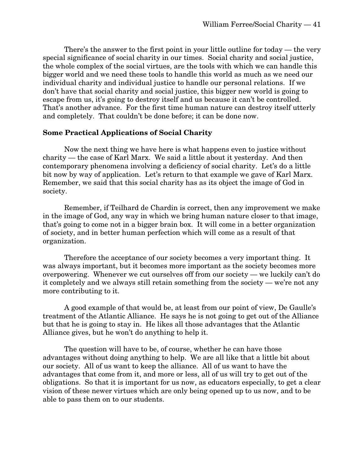There's the answer to the first point in your little outline for today — the very special significance of social charity in our times. Social charity and social justice, the whole complex of the social virtues, are the tools with which we can handle this bigger world and we need these tools to handle this world as much as we need our individual charity and individual justice to handle our personal relations. If we don't have that social charity and social justice, this bigger new world is going to escape from us, it's going to destroy itself and us because it can't be controlled. That's another advance. For the first time human nature can destroy itself utterly and completely. That couldn't be done before; it can be done now.

#### **Some Practical Applications of Social Charity**

Now the next thing we have here is what happens even to justice without charity — the case of Karl Marx. We said a little about it yesterday. And then contemporary phenomena involving a deficiency of social charity. Let's do a little bit now by way of application. Let's return to that example we gave of Karl Marx. Remember, we said that this social charity has as its object the image of God in society.

Remember, if Teilhard de Chardin is correct, then any improvement we make in the image of God, any way in which we bring human nature closer to that image, that's going to come not in a bigger brain box. It will come in a better organization of society, and in better human perfection which will come as a result of that organization.

Therefore the acceptance of our society becomes a very important thing. It was always important, but it becomes more important as the society becomes more overpowering. Whenever we cut ourselves off from our society — we luckily can't do it completely and we always still retain something from the society — we're not any more contributing to it.

A good example of that would be, at least from our point of view, De Gaulle's treatment of the Atlantic Alliance. He says he is not going to get out of the Alliance but that he is going to stay in. He likes all those advantages that the Atlantic Alliance gives, but he won't do anything to help it.

The question will have to be, of course, whether he can have those advantages without doing anything to help. We are all like that a little bit about our society. All of us want to keep the alliance. All of us want to have the advantages that come from it, and more or less, all of us will try to get out of the obligations. So that it is important for us now, as educators especially, to get a clear vision of these newer virtues which are only being opened up to us now, and to be able to pass them on to our students.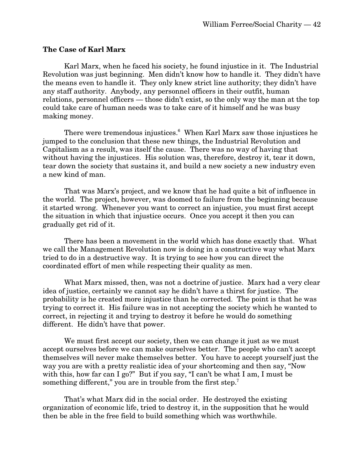#### **The Case of Karl Marx**

Karl Marx, when he faced his society, he found injustice in it. The Industrial Revolution was just beginning. Men didn't know how to handle it. They didn't have the means even to handle it. They only knew strict line authority; they didn't have any staff authority. Anybody, any personnel officers in their outfit, human relations, personnel officers — those didn't exist, so the only way the man at the top could take care of human needs was to take care of it himself and he was busy making money.

There were tremendous injustices.<sup>6</sup> When Karl Marx saw those injustices he jumped to the conclusion that these new things, the Industrial Revolution and Capitalism as a result, was itself the cause. There was no way of having that without having the injustices. His solution was, therefore, destroy it, tear it down, tear down the society that sustains it, and build a new society a new industry even a new kind of man.

That was Marx's project, and we know that he had quite a bit of influence in the world. The project, however, was doomed to failure from the beginning because it started wrong. Whenever you want to correct an injustice, you must first accept the situation in which that injustice occurs. Once you accept it then you can gradually get rid of it.

There has been a movement in the world which has done exactly that. What we call the Management Revolution now is doing in a constructive way what Marx tried to do in a destructive way. It is trying to see how you can direct the coordinated effort of men while respecting their quality as men.

What Marx missed, then, was not a doctrine of justice. Marx had a very clear idea of justice, certainly we cannot say he didn't have a thirst for justice. The probability is he created more injustice than he corrected. The point is that he was trying to correct it. His failure was in not accepting the society which he wanted to correct, in rejecting it and trying to destroy it before he would do something different. He didn't have that power.

We must first accept our society, then we can change it just as we must accept ourselves before we can make ourselves better. The people who can't accept themselves will never make themselves better. You have to accept yourself just the way you are with a pretty realistic idea of your shortcoming and then say, "Now with this, how far can I go?" But if you say, "I can't be what I am, I must be something different," you are in trouble from the first step.<sup>7</sup>

That's what Marx did in the social order. He destroyed the existing organization of economic life, tried to destroy it, in the supposition that he would then be able in the free field to build something which was worthwhile.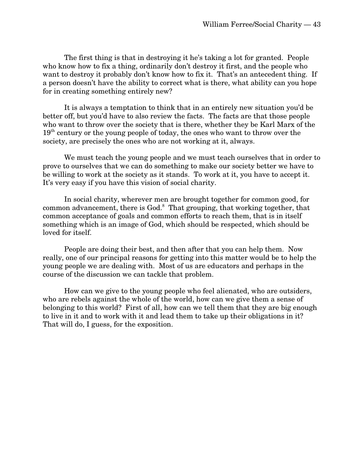The first thing is that in destroying it he's taking a lot for granted. People who know how to fix a thing, ordinarily don't destroy it first, and the people who want to destroy it probably don't know how to fix it. That's an antecedent thing. If a person doesn't have the ability to correct what is there, what ability can you hope for in creating something entirely new?

It is always a temptation to think that in an entirely new situation you'd be better off, but you'd have to also review the facts. The facts are that those people who want to throw over the society that is there, whether they be Karl Marx of the  $19<sup>th</sup>$  century or the young people of today, the ones who want to throw over the society, are precisely the ones who are not working at it, always.

We must teach the young people and we must teach ourselves that in order to prove to ourselves that we can do something to make our society better we have to be willing to work at the society as it stands. To work at it, you have to accept it. It's very easy if you have this vision of social charity.

In social charity, wherever men are brought together for common good, for common advancement, there is God.<sup>8</sup> That grouping, that working together, that common acceptance of goals and common efforts to reach them, that is in itself something which is an image of God, which should be respected, which should be loved for itself.

People are doing their best, and then after that you can help them. Now really, one of our principal reasons for getting into this matter would be to help the young people we are dealing with. Most of us are educators and perhaps in the course of the discussion we can tackle that problem.

How can we give to the young people who feel alienated, who are outsiders, who are rebels against the whole of the world, how can we give them a sense of belonging to this world? First of all, how can we tell them that they are big enough to live in it and to work with it and lead them to take up their obligations in it? That will do, I guess, for the exposition.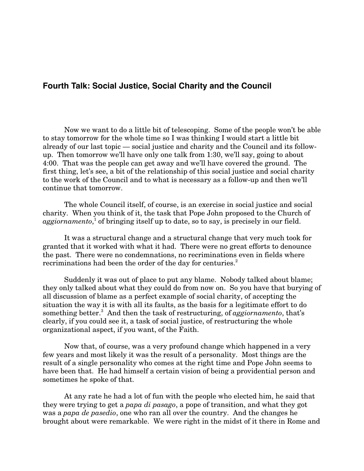# **Fourth Talk: Social Justice, Social Charity and the Council**

Now we want to do a little bit of telescoping. Some of the people won't be able to stay tomorrow for the whole time so I was thinking I would start a little bit already of our last topic — social justice and charity and the Council and its followup. Then tomorrow we'll have only one talk from 1:30, we'll say, going to about 4:00. That was the people can get away and we'll have covered the ground. The first thing, let's see, a bit of the relationship of this social justice and social charity to the work of the Council and to what is necessary as a follow-up and then we'll continue that tomorrow.

The whole Council itself, of course, is an exercise in social justice and social charity. When you think of it, the task that Pope John proposed to the Church of aggiornamento,<sup>1</sup> of bringing itself up to date, so to say, is precisely in our field.

It was a structural change and a structural change that very much took for granted that it worked with what it had. There were no great efforts to denounce the past. There were no condemnations, no recriminations even in fields where recriminations had been the order of the day for centuries.<sup>2</sup>

Suddenly it was out of place to put any blame. Nobody talked about blame; they only talked about what they could do from now on. So you have that burying of all discussion of blame as a perfect example of social charity, of accepting the situation the way it is with all its faults, as the basis for a legitimate effort to do something better.<sup>3</sup> And then the task of restructuring, of *aggiornamento*, that's clearly, if you could see it, a task of social justice, of restructuring the whole organizational aspect, if you want, of the Faith.

Now that, of course, was a very profound change which happened in a very few years and most likely it was the result of a personality. Most things are the result of a single personality who comes at the right time and Pope John seems to have been that. He had himself a certain vision of being a providential person and sometimes he spoke of that.

At any rate he had a lot of fun with the people who elected him, he said that they were trying to get a *papa di pasago*, a pope of transition, and what they got was a *papa de pasedio*, one who ran all over the country. And the changes he brought about were remarkable. We were right in the midst of it there in Rome and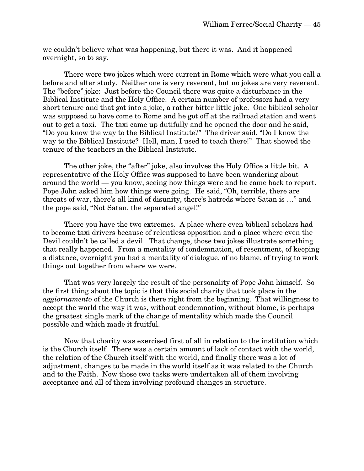we couldn't believe what was happening, but there it was. And it happened overnight, so to say.

There were two jokes which were current in Rome which were what you call a before and after study. Neither one is very reverent, but no jokes are very reverent. The "before" joke: Just before the Council there was quite a disturbance in the Biblical Institute and the Holy Office. A certain number of professors had a very short tenure and that got into a joke, a rather bitter little joke. One biblical scholar was supposed to have come to Rome and he got off at the railroad station and went out to get a taxi. The taxi came up dutifully and he opened the door and he said, "Do you know the way to the Biblical Institute?" The driver said, "Do I know the way to the Biblical Institute? Hell, man, I used to teach there!" That showed the tenure of the teachers in the Biblical Institute.

The other joke, the "after" joke, also involves the Holy Office a little bit. A representative of the Holy Office was supposed to have been wandering about around the world — you know, seeing how things were and he came back to report. Pope John asked him how things were going. He said, "Oh, terrible, there are threats of war, there's all kind of disunity, there's hatreds where Satan is …" and the pope said, "Not Satan, the separated angel!"

There you have the two extremes. A place where even biblical scholars had to become taxi drivers because of relentless opposition and a place where even the Devil couldn't be called a devil. That change, those two jokes illustrate something that really happened. From a mentality of condemnation, of resentment, of keeping a distance, overnight you had a mentality of dialogue, of no blame, of trying to work things out together from where we were.

That was very largely the result of the personality of Pope John himself. So the first thing about the topic is that this social charity that took place in the *aggiornamento* of the Church is there right from the beginning. That willingness to accept the world the way it was, without condemnation, without blame, is perhaps the greatest single mark of the change of mentality which made the Council possible and which made it fruitful.

Now that charity was exercised first of all in relation to the institution which is the Church itself. There was a certain amount of lack of contact with the world, the relation of the Church itself with the world, and finally there was a lot of adjustment, changes to be made in the world itself as it was related to the Church and to the Faith. Now those two tasks were undertaken all of them involving acceptance and all of them involving profound changes in structure.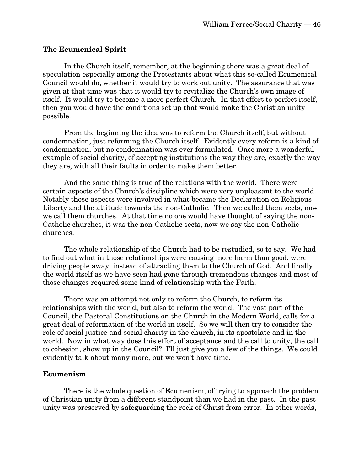#### **The Ecumenical Spirit**

In the Church itself, remember, at the beginning there was a great deal of speculation especially among the Protestants about what this so-called Ecumenical Council would do, whether it would try to work out unity. The assurance that was given at that time was that it would try to revitalize the Church's own image of itself. It would try to become a more perfect Church. In that effort to perfect itself, then you would have the conditions set up that would make the Christian unity possible.

From the beginning the idea was to reform the Church itself, but without condemnation, just reforming the Church itself. Evidently every reform is a kind of condemnation, but no condemnation was ever formulated. Once more a wonderful example of social charity, of accepting institutions the way they are, exactly the way they are, with all their faults in order to make them better.

And the same thing is true of the relations with the world. There were certain aspects of the Church's discipline which were very unpleasant to the world. Notably those aspects were involved in what became the Declaration on Religious Liberty and the attitude towards the non-Catholic. Then we called them sects, now we call them churches. At that time no one would have thought of saying the non-Catholic churches, it was the non-Catholic sects, now we say the non-Catholic churches.

The whole relationship of the Church had to be restudied, so to say. We had to find out what in those relationships were causing more harm than good, were driving people away, instead of attracting them to the Church of God. And finally the world itself as we have seen had gone through tremendous changes and most of those changes required some kind of relationship with the Faith.

There was an attempt not only to reform the Church, to reform its relationships with the world, but also to reform the world. The vast part of the Council, the Pastoral Constitutions on the Church in the Modern World, calls for a great deal of reformation of the world in itself. So we will then try to consider the role of social justice and social charity in the church, in its apostolate and in the world. Now in what way does this effort of acceptance and the call to unity, the call to cohesion, show up in the Council? I'll just give you a few of the things. We could evidently talk about many more, but we won't have time.

#### **Ecumenism**

There is the whole question of Ecumenism, of trying to approach the problem of Christian unity from a different standpoint than we had in the past. In the past unity was preserved by safeguarding the rock of Christ from error. In other words,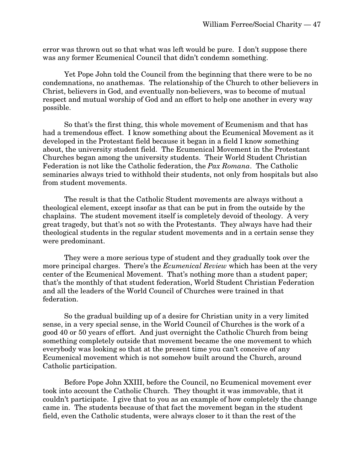error was thrown out so that what was left would be pure. I don't suppose there was any former Ecumenical Council that didn't condemn something.

Yet Pope John told the Council from the beginning that there were to be no condemnations, no anathemas. The relationship of the Church to other believers in Christ, believers in God, and eventually non-believers, was to become of mutual respect and mutual worship of God and an effort to help one another in every way possible.

So that's the first thing, this whole movement of Ecumenism and that has had a tremendous effect. I know something about the Ecumenical Movement as it developed in the Protestant field because it began in a field I know something about, the university student field. The Ecumenical Movement in the Protestant Churches began among the university students. Their World Student Christian Federation is not like the Catholic federation, the *Pax Romana*. The Catholic seminaries always tried to withhold their students, not only from hospitals but also from student movements.

The result is that the Catholic Student movements are always without a theological element, except insofar as that can be put in from the outside by the chaplains. The student movement itself is completely devoid of theology. A very great tragedy, but that's not so with the Protestants. They always have had their theological students in the regular student movements and in a certain sense they were predominant.

They were a more serious type of student and they gradually took over the more principal charges. There's the *Ecumenical Review* which has been at the very center of the Ecumenical Movement. That's nothing more than a student paper; that's the monthly of that student federation, World Student Christian Federation and all the leaders of the World Council of Churches were trained in that federation.

So the gradual building up of a desire for Christian unity in a very limited sense, in a very special sense, in the World Council of Churches is the work of a good 40 or 50 years of effort. And just overnight the Catholic Church from being something completely outside that movement became the one movement to which everybody was looking so that at the present time you can't conceive of any Ecumenical movement which is not somehow built around the Church, around Catholic participation.

Before Pope John XXIII, before the Council, no Ecumenical movement ever took into account the Catholic Church. They thought it was immovable, that it couldn't participate. I give that to you as an example of how completely the change came in. The students because of that fact the movement began in the student field, even the Catholic students, were always closer to it than the rest of the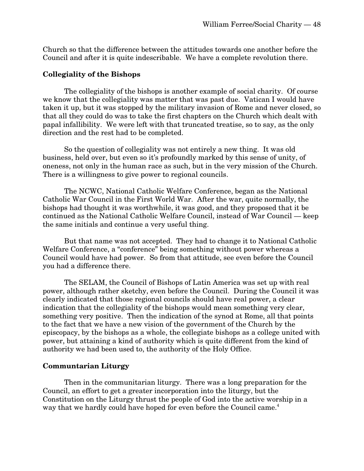Church so that the difference between the attitudes towards one another before the Council and after it is quite indescribable. We have a complete revolution there.

#### **Collegiality of the Bishops**

The collegiality of the bishops is another example of social charity. Of course we know that the collegiality was matter that was past due. Vatican I would have taken it up, but it was stopped by the military invasion of Rome and never closed, so that all they could do was to take the first chapters on the Church which dealt with papal infallibility. We were left with that truncated treatise, so to say, as the only direction and the rest had to be completed.

So the question of collegiality was not entirely a new thing. It was old business, held over, but even so it's profoundly marked by this sense of unity, of oneness, not only in the human race as such, but in the very mission of the Church. There is a willingness to give power to regional councils.

The NCWC, National Catholic Welfare Conference, began as the National Catholic War Council in the First World War. After the war, quite normally, the bishops had thought it was worthwhile, it was good, and they proposed that it be continued as the National Catholic Welfare Council, instead of War Council — keep the same initials and continue a very useful thing.

But that name was not accepted. They had to change it to National Catholic Welfare Conference, a "conference" being something without power whereas a Council would have had power. So from that attitude, see even before the Council you had a difference there.

The SELAM, the Council of Bishops of Latin America was set up with real power, although rather sketchy, even before the Council. During the Council it was clearly indicated that those regional councils should have real power, a clear indication that the collegiality of the bishops would mean something very clear, something very positive. Then the indication of the synod at Rome, all that points to the fact that we have a new vision of the government of the Church by the episcopacy, by the bishops as a whole, the collegiate bishops as a college united with power, but attaining a kind of authority which is quite different from the kind of authority we had been used to, the authority of the Holy Office.

#### **Communtarian Liturgy**

Then in the communitarian liturgy. There was a long preparation for the Council, an effort to get a greater incorporation into the liturgy, but the Constitution on the Liturgy thrust the people of God into the active worship in a way that we hardly could have hoped for even before the Council came.<sup>4</sup>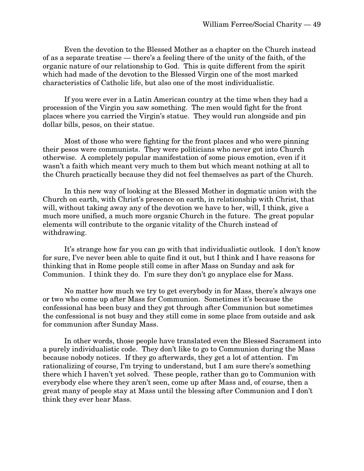Even the devotion to the Blessed Mother as a chapter on the Church instead of as a separate treatise — there's a feeling there of the unity of the faith, of the organic nature of our relationship to God. This is quite different from the spirit which had made of the devotion to the Blessed Virgin one of the most marked characteristics of Catholic life, but also one of the most individualistic.

If you were ever in a Latin American country at the time when they had a procession of the Virgin you saw something. The men would fight for the front places where you carried the Virgin's statue. They would run alongside and pin dollar bills, pesos, on their statue.

Most of those who were fighting for the front places and who were pinning their pesos were communists. They were politicians who never got into Church otherwise. A completely popular manifestation of some pious emotion, even if it wasn't a faith which meant very much to them but which meant nothing at all to the Church practically because they did not feel themselves as part of the Church.

In this new way of looking at the Blessed Mother in dogmatic union with the Church on earth, with Christ's presence on earth, in relationship with Christ, that will, without taking away any of the devotion we have to her, will, I think, give a much more unified, a much more organic Church in the future. The great popular elements will contribute to the organic vitality of the Church instead of withdrawing.

It's strange how far you can go with that individualistic outlook. I don't know for sure, I've never been able to quite find it out, but I think and I have reasons for thinking that in Rome people still come in after Mass on Sunday and ask for Communion. I think they do. I'm sure they don't go anyplace else for Mass.

No matter how much we try to get everybody in for Mass, there's always one or two who come up after Mass for Communion. Sometimes it's because the confessional has been busy and they got through after Communion but sometimes the confessional is not busy and they still come in some place from outside and ask for communion after Sunday Mass.

In other words, those people have translated even the Blessed Sacrament into a purely individualistic code. They don't like to go to Communion during the Mass because nobody notices. If they go afterwards, they get a lot of attention. I'm rationalizing of course, I'm trying to understand, but I am sure there's something there which I haven't yet solved. These people, rather than go to Communion with everybody else where they aren't seen, come up after Mass and, of course, then a great many of people stay at Mass until the blessing after Communion and I don't think they ever hear Mass.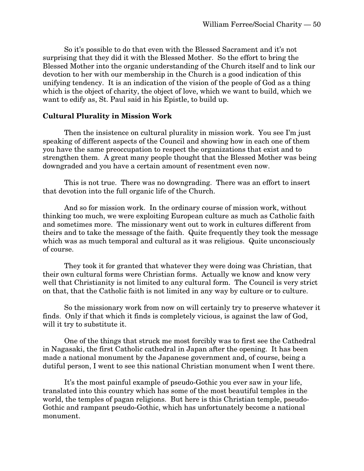So it's possible to do that even with the Blessed Sacrament and it's not surprising that they did it with the Blessed Mother. So the effort to bring the Blessed Mother into the organic understanding of the Church itself and to link our devotion to her with our membership in the Church is a good indication of this unifying tendency. It is an indication of the vision of the people of God as a thing which is the object of charity, the object of love, which we want to build, which we want to edify as, St. Paul said in his Epistle, to build up.

## **Cultural Plurality in Mission Work**

Then the insistence on cultural plurality in mission work. You see I'm just speaking of different aspects of the Council and showing how in each one of them you have the same preoccupation to respect the organizations that exist and to strengthen them. A great many people thought that the Blessed Mother was being downgraded and you have a certain amount of resentment even now.

This is not true. There was no downgrading. There was an effort to insert that devotion into the full organic life of the Church.

And so for mission work. In the ordinary course of mission work, without thinking too much, we were exploiting European culture as much as Catholic faith and sometimes more. The missionary went out to work in cultures different from theirs and to take the message of the faith. Quite frequently they took the message which was as much temporal and cultural as it was religious. Quite unconsciously of course.

They took it for granted that whatever they were doing was Christian, that their own cultural forms were Christian forms. Actually we know and know very well that Christianity is not limited to any cultural form. The Council is very strict on that, that the Catholic faith is not limited in any way by culture or to culture.

So the missionary work from now on will certainly try to preserve whatever it finds. Only if that which it finds is completely vicious, is against the law of God, will it try to substitute it.

One of the things that struck me most forcibly was to first see the Cathedral in Nagasaki, the first Catholic cathedral in Japan after the opening. It has been made a national monument by the Japanese government and, of course, being a dutiful person, I went to see this national Christian monument when I went there.

It's the most painful example of pseudo-Gothic you ever saw in your life, translated into this country which has some of the most beautiful temples in the world, the temples of pagan religions. But here is this Christian temple, pseudo-Gothic and rampant pseudo-Gothic, which has unfortunately become a national monument.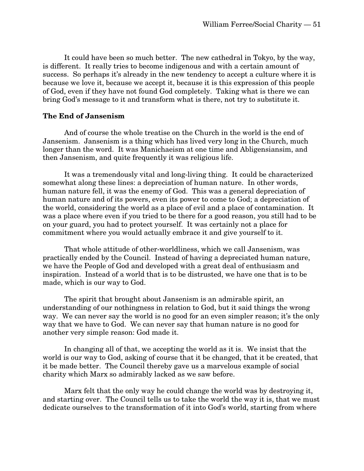It could have been so much better. The new cathedral in Tokyo, by the way, is different. It really tries to become indigenous and with a certain amount of success. So perhaps it's already in the new tendency to accept a culture where it is because we love it, because we accept it, because it is this expression of this people of God, even if they have not found God completely. Taking what is there we can bring God's message to it and transform what is there, not try to substitute it.

# **The End of Jansenism**

And of course the whole treatise on the Church in the world is the end of Jansenism. Jansenism is a thing which has lived very long in the Church, much longer than the word. It was Manichaeism at one time and Abligensiansim, and then Jansenism, and quite frequently it was religious life.

It was a tremendously vital and long-living thing. It could be characterized somewhat along these lines: a depreciation of human nature. In other words, human nature fell, it was the enemy of God. This was a general depreciation of human nature and of its powers, even its power to come to God; a depreciation of the world, considering the world as a place of evil and a place of contamination. It was a place where even if you tried to be there for a good reason, you still had to be on your guard, you had to protect yourself. It was certainly not a place for commitment where you would actually embrace it and give yourself to it.

That whole attitude of other-worldliness, which we call Jansenism, was practically ended by the Council. Instead of having a depreciated human nature, we have the People of God and developed with a great deal of enthusiasm and inspiration. Instead of a world that is to be distrusted, we have one that is to be made, which is our way to God.

The spirit that brought about Jansenism is an admirable spirit, an understanding of our nothingness in relation to God, but it said things the wrong way. We can never say the world is no good for an even simpler reason; it's the only way that we have to God. We can never say that human nature is no good for another very simple reason: God made it.

In changing all of that, we accepting the world as it is. We insist that the world is our way to God, asking of course that it be changed, that it be created, that it be made better. The Council thereby gave us a marvelous example of social charity which Marx so admirably lacked as we saw before.

Marx felt that the only way he could change the world was by destroying it, and starting over. The Council tells us to take the world the way it is, that we must dedicate ourselves to the transformation of it into God's world, starting from where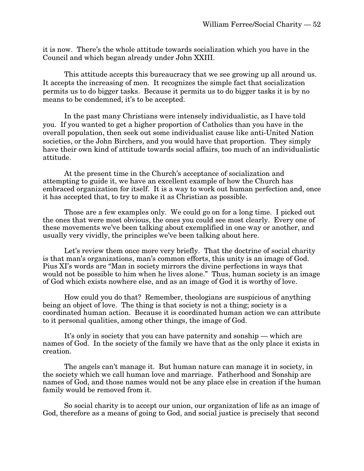it is now. There's the whole attitude towards socialization which you have in the Council and which began already under John XXIII.

This attitude accepts this bureaucracy that we see growing up all around us. It accepts the increasing of men. It recognizes the simple fact that socialization permits us to do bigger tasks. Because it permits us to do bigger tasks it is by no means to be condemned, it's to be accepted.

In the past many Christians were intensely individualistic, as I have told you. If you wanted to get a higher proportion of Catholics than you have in the overall population, then seek out some individualist cause like anti-United Nation societies, or the John Birchers, and you would have that proportion. They simply have their own kind of attitude towards social affairs, too much of an individualistic attitude.

At the present time in the Church's acceptance of socialization and attempting to guide it, we have an excellent example of how the Church has embraced organization for itself. It is a way to work out human perfection and, once it has accepted that, to try to make it as Christian as possible.

Those are a few examples only. We could go on for a long time. I picked out the ones that were most obvious, the ones you could see most clearly. Every one of these movements we've been talking about exemplified in one way or another, and usually very vividly, the principles we've been talking about here.

Let's review them once more very briefly. That the doctrine of social charity is that man's organizations, man's common efforts, this unity is an image of God. Pius XI's words are "Man in society mirrors the divine perfections in ways that would not be possible to him when he lives alone." Thus, human society is an image of God which exists nowhere else, and as an image of God it is worthy of love.

How could you do that? Remember, theologians are suspicious of anything being an object of love. The thing is that society is not a thing; society is a coordinated human action. Because it is coordinated human action we can attribute to it personal qualities, among other things, the image of God.

It's only in society that you can have paternity and sonship — which are names of God. In the society of the family we have that as the only place it exists in creation.

The angels can't manage it. But human nature can manage it in society, in the society which we call human love and marriage. Fatherhood and Sonship are names of God, and those names would not be any place else in creation if the human family would be removed from it.

So social charity is to accept our union, our organization of life as an image of God, therefore as a means of going to God, and social justice is precisely that second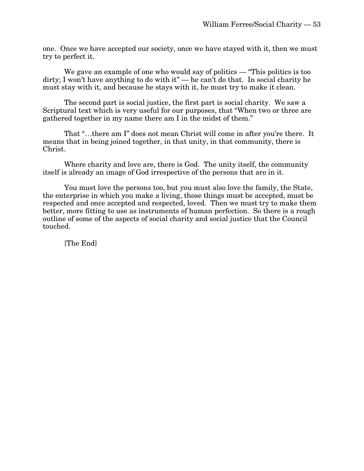one. Once we have accepted our society, once we have stayed with it, then we must try to perfect it.

We gave an example of one who would say of politics — "This politics is too dirty; I won't have anything to do with it" — he can't do that. In social charity he must stay with it, and because he stays with it, he must try to make it clean.

The second part is social justice, the first part is social charity. We saw a Scriptural text which is very useful for our purposes, that "When two or three are gathered together in my name there am I in the midst of them."

That "…there am I" does not mean Christ will come in after you're there. It means that in being joined together, in that unity, in that community, there is Christ.

Where charity and love are, there is God. The unity itself, the community itself is already an image of God irrespective of the persons that are in it.

You must love the persons too, but you must also love the family, the State, the enterprise in which you make a living, those things must be accepted, must be respected and once accepted and respected, loved. Then we must try to make them better, more fitting to use as instruments of human perfection. So there is a rough outline of some of the aspects of social charity and social justice that the Council touched.

[The End]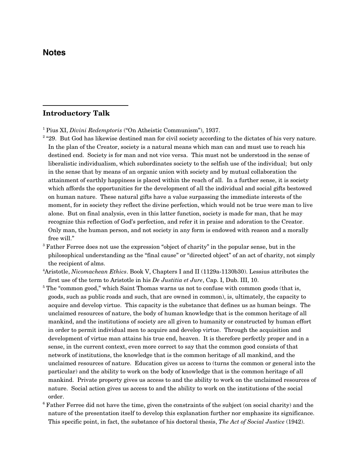#### **Notes**

 $\overline{a}$ 

#### **Introductory Talk**

- 1 Pius XI, *Divini Redemptoris* ("On Atheistic Communism"), 1937.
- <sup>2</sup> "29. But God has likewise destined man for civil society according to the dictates of his very nature. In the plan of the Creator, society is a natural means which man can and must use to reach his destined end. Society is for man and not vice versa. This must not be understood in the sense of liberalistic individualism, which subordinates society to the selfish use of the individual; but only in the sense that by means of an organic union with society and by mutual collaboration the attainment of earthly happiness is placed within the reach of all. In a further sense, it is society which affords the opportunities for the development of all the individual and social gifts bestowed on human nature. These natural gifts have a value surpassing the immediate interests of the moment, for in society they reflect the divine perfection, which would not be true were man to live alone. But on final analysis, even in this latter function, society is made for man, that he may recognize this reflection of God's perfection, and refer it in praise and adoration to the Creator. Only man, the human person, and not society in any form is endowed with reason and a morally free will."
- <sup>3</sup> Father Ferree does not use the expression "object of charity" in the popular sense, but in the philosophical understanding as the "final cause" or "directed object" of an act of charity, not simply the recipient of alms.
- 4 Aristotle, *Nicomachean Ethics*. Book V, Chapters I and II (1129a-1130b30). Lessius attributes the first use of the term to Aristotle in his *De Justitia et Jure*, Cap. I, Dub. III, 10.
- <sup>5</sup> The "common good," which Saint Thomas warns us not to confuse with common goods (that is, goods, such as public roads and such, that are owned in common), is, ultimately, the capacity to acquire and develop virtue. This capacity is the substance that defines us as human beings. The unclaimed resources of nature, the body of human knowledge that is the common heritage of all mankind, and the institutions of society are all given to humanity or constructed by human effort in order to permit individual men to acquire and develop virtue. Through the acquisition and development of virtue man attains his true end, heaven. It is therefore perfectly proper and in a sense, in the current context, even more correct to say that the common good consists of that network of institutions, the knowledge that is the common heritage of all mankind, and the unclaimed resources of nature. Education gives us access to (turns the common or general into the particular) and the ability to work on the body of knowledge that is the common heritage of all mankind. Private property gives us access to and the ability to work on the unclaimed resources of nature. Social action gives us access to and the ability to work on the institutions of the social order.
- $6$  Father Ferree did not have the time, given the constraints of the subject (on social charity) and the nature of the presentation itself to develop this explanation further nor emphasize its significance. This specific point, in fact, the substance of his doctoral thesis, *The Act of Social Justice* (1942).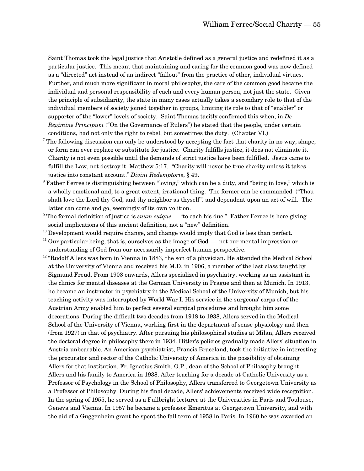Saint Thomas took the legal justice that Aristotle defined as a general justice and redefined it as a particular justice. This meant that maintaining and caring for the common good was now defined as a "directed" act instead of an indirect "fallout" from the practice of other, individual virtues. Further, and much more significant in moral philosophy, the care of the common good became the individual and personal responsibility of each and every human person, not just the state. Given the principle of subsidiarity, the state in many cases actually takes a secondary role to that of the individual members of society joined together in groups, limiting its role to that of "enabler" or supporter of the "lower" levels of society. Saint Thomas tacitly confirmed this when, in *De Regimine Principum* ("On the Governance of Rulers") he stated that the people, under certain conditions, had not only the right to rebel, but sometimes the duty. (Chapter VI.)

 $\overline{a}$ 

- <sup>7</sup> The following discussion can only be understood by accepting the fact that charity in no way, shape, or form can ever replace or substitute for justice. Charity fulfills justice, it does not eliminate it. Charity is not even possible until the demands of strict justice have been fulfilled. Jesus came to fulfill the Law, not destroy it. Matthew 5:17. "Charity will never be true charity unless it takes justice into constant account." *Divini Redemptoris*, § 49.
- <sup>8</sup> Father Ferree is distinguishing between "loving," which can be a duty, and "being in love," which is a wholly emotional and, to a great extent, irrational thing. The former can be commanded ("Thou shalt love the Lord thy God, and thy neighbor as thyself") and dependent upon an act of will. The latter can come and go, seemingly of its own volition.
- <sup>9</sup> The formal definition of justice is *suum cuique* "to each his due." Father Ferree is here giving social implications of this ancient definition, not a "new" definition.
- $10$  Development would require change, and change would imply that God is less than perfect.
- $11$  Our particular being, that is, ourselves as the image of God  $-$  not our mental impression or understanding of God from our necessarily imperfect human perspective.
- $12$  "Rudolf Allers was born in Vienna in 1883, the son of a physician. He attended the Medical School at the University of Vienna and received his M.D. in 1906, a member of the last class taught by Sigmund Freud. From 1908 onwards, Allers specialized in psychiatry, working as an assistant in the clinics for mental diseases at the German University in Prague and then at Munich. In 1913, he became an instructor in psychiatry in the Medical School of the University of Munich, but his teaching activity was interrupted by World War I. His service in the surgeons' corps of of the Austrian Army enabled him to perfect several surgical procedures and brought him some decorations. During the difficult two decades from 1918 to 1938, Allers served in the Medical School of the University of Vienna, working first in the department of sense physiology and then (from 1927) in that of psychiatry. After pursuing his philosophical studies at Milan, Allers received the doctoral degree in philosophy there in 1934. Hitler's policies gradually made Allers' situation in Austria unbearable. An American psychiatrist, Francis Braceland, took the initiative in interesting the procurator and rector of the Catholic University of America in the possibility of obtaining Allers for that institution. Fr. Ignatius Smith, O.P., dean of the School of Philosophy brought Allers and his family to America in 1938. After teaching for a decade at Catholic University as a Professor of Psychology in the School of Philosophy, Allers transferred to Georgetown University as a Professor of Philosophy. During his final decade, Allers' achievements received wide recognition. In the spring of 1955, he served as a Fullbright lecturer at the Universities in Paris and Toulouse, Geneva and Vienna. In 1957 he became a professor Emeritus at Georgetown University, and with the aid of a Guggenheim grant he spent the fall term of 1958 in Paris. In 1960 he was awarded an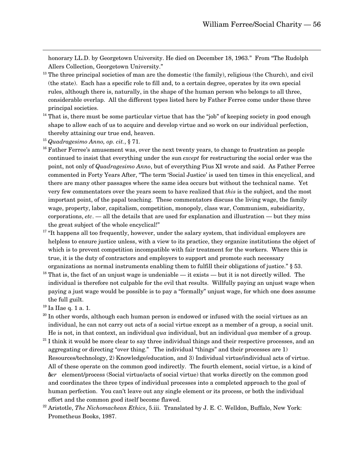honorary LL.D. by Georgetown University. He died on December 18, 1963." From "The Rudolph Allers Collection, Georgetown University."

- $13$  The three principal societies of man are the domestic (the family), religious (the Church), and civil (the state). Each has a specific role to fill and, to a certain degree, operates by its own special rules, although there is, naturally, in the shape of the human person who belongs to all three, considerable overlap. All the different types listed here by Father Ferree come under these three principal societies.
- $14$  That is, there must be some particular virtue that has the "job" of keeping society in good enough shape to allow each of us to acquire and develop virtue and so work on our individual perfection, thereby attaining our true end, heaven.
- <sup>15</sup> *Quadragesimo Anno, op. cit.*, § 71.

 $\overline{a}$ 

- <sup>16</sup> Father Ferree's amusement was, over the next twenty years, to change to frustration as people continued to insist that everything under the sun *except* for restructuring the social order was the point, not only of *Quadragesimo Anno*, but of everything Pius XI wrote and said. As Father Ferree commented in Forty Years After, "The term 'Social Justice' is used ten times in this encyclical, and there are many other passages where the same idea occurs but without the technical name. Yet very few commentators over the years seem to have realized that *this* is the subject, and the most important point, of the papal teaching. These commentators discuss the living wage, the family wage, property, labor, capitalism, competition, monopoly, class war, Communism, subsidiarity, corporations, *etc*. — all the details that are used for explanation and illustration — but they miss the great subject of the whole encyclical!"
- $17$  "It happens all too frequently, however, under the salary system, that individual employers are helpless to ensure justice unless, with a view to its practice, they organize institutions the object of which is to prevent competition incompatible with fair treatment for the workers. Where this is true, it is the duty of contractors and employers to support and promote such necessary organizations as normal instruments enabling them to fulfill their obligations of justice." § 53.
- <sup>18</sup> That is, the fact of an unjust wage is undeniable it exists but it is not directly willed. The individual is therefore not culpable for the evil that results. Willfully paying an unjust wage when paying a just wage would be possible is to pay a "formally" unjust wage, for which one does assume the full guilt.
- <sup>19</sup> Ia IIae q. 1 a. 1.
- $20$  In other words, although each human person is endowed or infused with the social virtues as an individual, he can not carry out acts of a social virtue except as a member of a group, a social unit. He is not, in that context, an individual *qua* individual, but an individual *qua* member of a group.
- $21$  I think it would be more clear to say three individual things and their respective processes, and an aggregating or directing "over thing." The individual "things" and their processes are 1) Resources/technology, 2) Knowledge/education, and 3) Individual virtue/individual acts of virtue. All of these operate on the common good indirectly. The fourth element, social virtue, is a kind of *über* element/process (Social virtue/acts of social virtue) that works directly on the common good and coordinates the three types of individual processes into a completed approach to the goal of human perfection. You can't leave out any single element or its process, or both the individual effort and the common good itself become flawed.
- 22 Aristotle, *The Nichomachean Ethics*, 5.iii. Translated by J. E. C. Welldon, Buffalo, New York: Prometheus Books, 1987.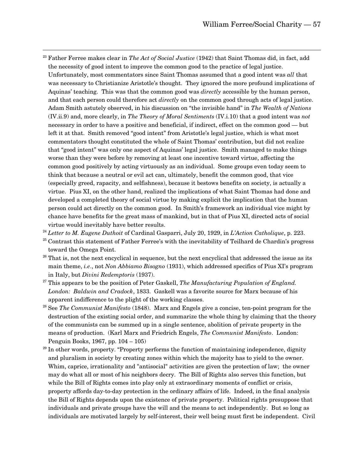- 23 Father Ferree makes clear in *The Act of Social Justice* (1942) that Saint Thomas did, in fact, add the necessity of good intent to improve the common good to the practice of legal justice. Unfortunately, most commentators since Saint Thomas assumed that a good intent was *all* that was necessary to Christianize Aristotle's thought. They ignored the more profound implications of Aquinas' teaching. This was that the common good was *directly* accessible by the human person, and that each person could therefore act *directly* on the common good through acts of legal justice. Adam Smith astutely observed, in his discussion on "the invisible hand" in *The Wealth of Nations* (IV.ii.9) and, more clearly, in *The Theory of Moral Sentiments* (IV.i.10) that a good intent was *not* necessary in order to have a positive and beneficial, if indirect, effect on the common good — but left it at that. Smith removed "good intent" from Aristotle's legal justice, which is what most commentators thought constituted the whole of Saint Thomas' contribution, but did not realize that "good intent" was only one aspect of Aquinas' legal justice. Smith managed to make things worse than they were before by removing at least one incentive toward virtue, affecting the common good positively by acting virtuously as an individual. Some groups even today seem to think that because a neutral or evil act can, ultimately, benefit the common good, that vice (especially greed, rapacity, and selfishness), because it bestows benefits on society, is actually a virtue. Pius XI, on the other hand, realized the implications of what Saint Thomas had done and developed a completed theory of social virtue by making explicit the implication that the human person could act directly on the common good. In Smith's framework an individual vice might by chance have benefits for the great mass of mankind, but in that of Pius XI, directed acts of social virtue would inevitably have better results.
- <sup>24</sup> *Letter to M. Eugene Duthoit* of Cardinal Gasparri, July 20, 1929, in *L'Action Catholique*, p. 223.
- <sup>25</sup> Contrast this statement of Father Ferree's with the inevitability of Teilhard de Chardin's progress toward the Omega Point.
- <sup>26</sup> That is, not the next encyclical in sequence, but the next encyclical that addressed the issue as its main theme, *i.e*., not *Non Abbiamo Bisogno* (1931), which addressed specifics of Pius XI's program in Italy, but *Divini Redemptoris* (1937).
- 27 This appears to be the position of Peter Gaskell, *The Manufacturing Population of England. London: Baldwin and Cradock*, 1833. Gaskell was a favorite source for Marx because of his apparent indifference to the plight of the working classes.
- 28 See *The Communist Manifesto* (1848). Marx and Engels give a concise, ten-point program for the destruction of the existing social order, and summarize the whole thing by claiming that the theory of the communists can be summed up in a single sentence, abolition of private property in the means of production. (Karl Marx and Friedrich Engels, *The Communist Manifesto*. London: Penguin Books, 1967, pp. 104 – 105)
- $29$  In other words, property. "Property performs the function of maintaining independence, dignity and pluralism in society by creating zones within which the majority has to yield to the owner. Whim, caprice, irrationality and "antisocial" activities are given the protection of law; the owner may do what all or most of his neighbors decry. The Bill of Rights also serves this function, but while the Bill of Rights comes into play only at extraordinary moments of conflict or crisis, property affords day-to-day protection in the ordinary affairs of life. Indeed, in the final analysis the Bill of Rights depends upon the existence of private property. Political rights presuppose that individuals and private groups have the will and the means to act independently. But so long as individuals are motivated largely by self-interest, their well being must first be independent. Civil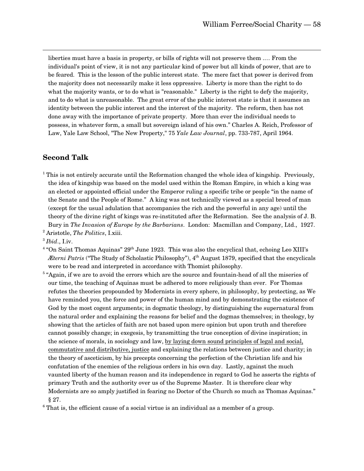liberties must have a basis in property, or bills of rights will not preserve them .… From the individual's point of view, it is not any particular kind of power but all kinds of power, that are to be feared. This is the lesson of the public interest state. The mere fact that power is derived from the majority does not necessarily make it less oppressive. Liberty is more than the right to do what the majority wants, or to do what is "reasonable." Liberty is the right to defy the majority, and to do what is unreasonable. The great error of the public interest state is that it assumes an identity between the public interest and the interest of the majority. The reform, then has not done away with the importance of private property. More than ever the individual needs to possess, in whatever form, a small but sovereign island of his own." Charles A. Reich, Professor of Law, Yale Law School, "The New Property," 75 *Yale Law Journal*, pp. 733-787, April 1964.

#### **Second Talk**

 $\overline{a}$ 

<sup>1</sup> This is not entirely accurate until the Reformation changed the whole idea of kingship. Previously, the idea of kingship was based on the model used within the Roman Empire, in which a king was an elected or appointed official under the Emperor ruling a specific tribe or people "in the name of the Senate and the People of Rome." A king was not technically viewed as a special breed of man (except for the usual adulation that accompanies the rich and the powerful in any age) until the theory of the divine right of kings was re-instituted after the Reformation. See the analysis of J. B. Bury in *The Invasion of Europe by the Barbarians*. London: Macmillan and Company, Ltd., 1927.

<sup>2</sup> Aristotle, *The Politics*, I.xiii.

<sup>3</sup> *Ibid*., I.iv.

- $4\text{ }$ "On Saint Thomas Aquinas"  $29\text{th}$  June 1923. This was also the encyclical that, echoing Leo XIII's *Æterni Patris* ("The Study of Scholastic Philosophy"), 4<sup>th</sup> August 1879, specified that the encyclicals were to be read and interpreted in accordance with Thomist philosophy.
- <sup>5</sup> "Again, if we are to avoid the errors which are the source and fountain-head of all the miseries of our time, the teaching of Aquinas must be adhered to more religiously than ever. For Thomas refutes the theories propounded by Modernists in every sphere, in philosophy, by protecting, as We have reminded you, the force and power of the human mind and by demonstrating the existence of God by the most cogent arguments; in dogmatic theology, by distinguishing the supernatural from the natural order and explaining the reasons for belief and the dogmas themselves; in theology, by showing that the articles of faith are not based upon mere opinion but upon truth and therefore cannot possibly change; in exegesis, by transmitting the true conception of divine inspiration; in the science of morals, in sociology and law, by laying down sound principles of legal and social, commutative and distributive, justice and explaining the relations between justice and charity; in the theory of asceticism, by his precepts concerning the perfection of the Christian life and his confutation of the enemies of the religious orders in his own day. Lastly, against the much vaunted liberty of the human reason and its independence in regard to God he asserts the rights of primary Truth and the authority over us of the Supreme Master. It is therefore clear why Modernists are so amply justified in fearing no Doctor of the Church so much as Thomas Aquinas." § 27.

<sup>6</sup> That is, the efficient cause of a social virtue is an individual as a member of a group.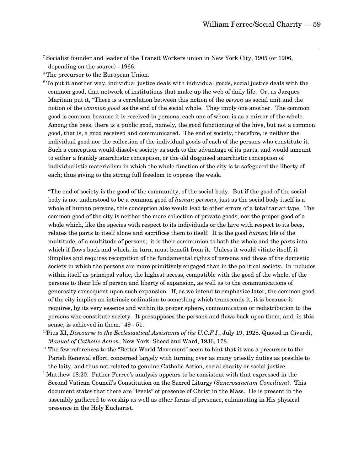-<br>7 <sup>7</sup> Socialist founder and leader of the Transit Workers union in New York City, 1905 (or 1906, depending on the source) - 1966.

<sup>8</sup> The precursor to the European Union.

 $9$  To put it another way, individual justice deals with individual goods, social justice deals with the common good, that network of institutions that make up the web of daily life. Or, as Jacques Maritain put it, "There is a correlation between this notion of the *person* as social unit and the notion of the *common good* as the end of the social whole. They imply one another. The common good is common because it is received in persons, each one of whom is as a mirror of the whole. Among the bees, there is a public good, namely, the good functioning of the hive, but not a common good, that is, a good received and communicated. The end of society, therefore, is neither the individual good nor the collection of the individual goods of each of the persons who constitute it. Such a conception would dissolve society as such to the advantage of its parts, and would amount to either a frankly anarchistic conception, or the old disguised anarchistic conception of individualistic materialism in which the whole function of the city is to safeguard the liberty of each; thus giving to the strong full freedom to oppress the weak.

"The end of society is the good of the community, of the social body. But if the good of the social body is not understood to be a common good of *human persons*, just as the social body itself is a whole of human persons, this conception also would lead to other errors of a totalitarian type. The common good of the city is neither the mere collection of private goods, nor the proper good of a whole which, like the species with respect to its individuals or the hive with respect to its bees, relates the parts to itself alone and sacrifices them to itself. It is the good *human* life of the multitude, of a multitude of persons; it is their communion to both the whole and the parts into which if flows back and which, in turn, must benefit from it. Unless it would vitiate itself, it 9implies and requires recognition of the fundamental rights of persons and those of the domestic society in which the persons are more primitively engaged than in the political society. In includes within itself as principal value, the highest access, compatible with the good of the whole, of the persons to their life of person and liberty of expansion, as well as to the communications of generosity consequent upon such expansion. If, as we intend to emphasize later, the common good of the city implies an intrinsic ordination to something which transcends it, it is because it requires, by its very essence and within its proper sphere, communication or redistribution to the persons who constitute society. It presupposes the persons and flows back upon them, and, in this sense, is achieved in them." 49 - 51.

- 10Pius XI, *Discourse to the Ecclesiastical Assistants of the U.C.F.I.*, July 19, 1928. Quoted in Civardi, *Manual of Catholic Action*, New York: Sheed and Ward, 1936, 178.
- $11$  The few references to the "Better World Movement" seem to hint that it was a precursor to the Parish Renewal effort, concerned largely with turning over as many priestly duties as possible to the laity, and thus not related to genuine Catholic Action, social charity or social justice.
- <sup>1</sup> Matthew 18:20. Father Ferree's analysis appears to be consistent with that expressed in the Second Vatican Council's Constitution on the Sacred Liturgy (*Sancrosanctum Concilium*). This document states that there are "levels" of presence of Christ in the Mass. He is present in the assembly gathered to worship as well as other forms of presence, culminating in His physical presence in the Holy Eucharist.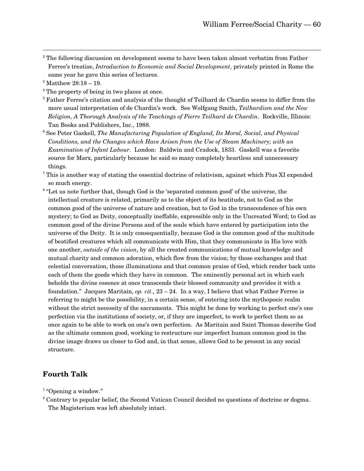$\frac{1}{2}$ <sup>2</sup> The following discussion on development seems to have been taken almost verbatim from Father Ferree's treatise, *Introduction to Economic and Social Development*, privately printed in Rome the same year he gave this series of lectures.

- <sup>4</sup> The property of being in two places at once.
- <sup>5</sup> Father Ferree's citation and analysis of the thought of Teilhard de Chardin seems to differ from the more usual interpretation of de Chardin's work. See Wolfgang Smith, *Teilhardism and the New Religion, A Thorough Analysis of the Teachings of Pierre Teilhard de Chardin*. Rockville, Illinois: Tan Books and Publishers, Inc., 1988.
- <sup>6</sup> See Peter Gaskell, *The Manufacturing Population of England, Its Moral, Social, and Physical Conditions, and the Changes which Have Arisen from the Use of Steam Machinery; with an Examination of Infant Labour*. London: Baldwin and Cradock, 1833. Gaskell was a favorite source for Marx, particularly because he said so many completely heartless and unnecessary things.
- <sup>7</sup> This is another way of stating the essential doctrine of relativism, against which Pius XI expended so much energy.
- <sup>8</sup> "Let us note further that, though God is the 'separated common good' of the universe, the intellectual creature is related, primarily as to the object of its beatitude, not to God as the common good of the universe of nature and creation, but to God in the transcendence of his own mystery; to God as Deity, conceptually ineffable, expressible only in the Uncreated Word; to God as common good of the divine Persons and of the souls which have entered by participation into the universe of the Deity. It is only consequentially, because God is the common good of the multitude of beatified creatures which all communicate with Him, that they communicate in His love with one another, *outside of the vision*, by all the created communications of mutual knowledge and mutual charity and common adoration, which flow from the vision; by those exchanges and that celestial conversation, those illuminations and that common praise of God, which render back unto each of them the goods which they have in common. The eminently personal act in which each beholds the divine essence at once transcends their blessed community and provides it with a foundation." Jacques Maritain, *op. cit*., 23 – 24. In a way, I believe that what Father Ferree is referring to might be the possibility, in a certain sense, of entering into the mythopoeic realm without the strict necessity of the sacraments. This might be done by working to perfect one's one perfection via the institutions of society, or, if they are imperfect, to work to perfect them so as once again to be able to work on one's own perfection. As Maritain and Saint Thomas describe God as the ultimate common good, working to restructure our imperfect human common good in the divine image draws us closer to God and, in that sense, allows God to be present in any social structure.

#### **Fourth Talk**

<sup>1</sup> "Opening a window."

<sup>3</sup> Matthew 28:18 – 19.

 $2^2$  Contrary to popular belief, the Second Vatican Council decided no questions of doctrine or dogma. The Magisterium was left absolutely intact.